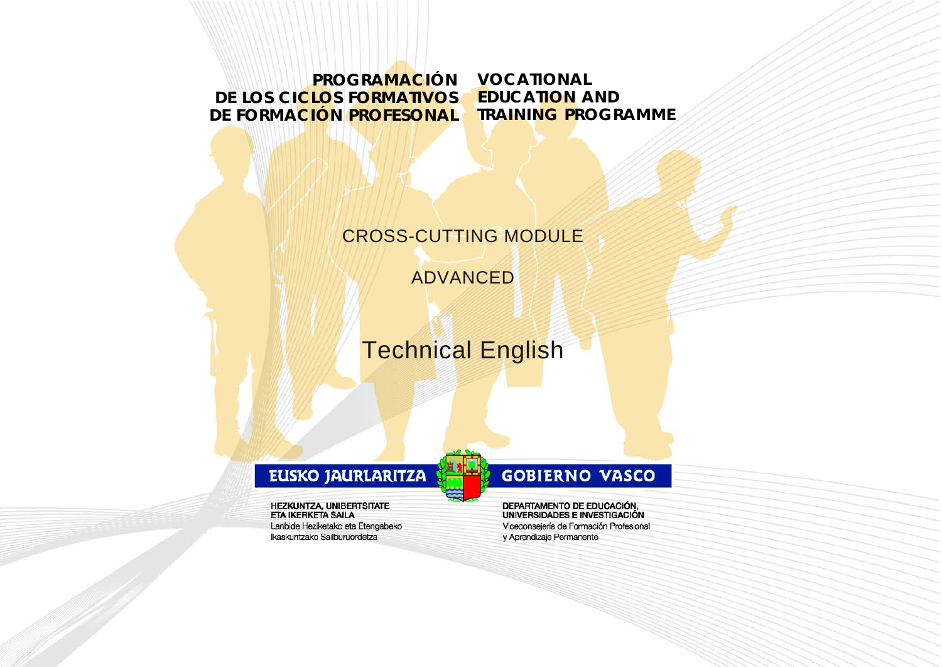**PROGRAMACIÓN DE LOS CICLOS FORMATIVOS DE FORMACIÓN PROFESONAL**

**VOCATIONAL EDUCATION AND TRAINING PROGRAMME**

## CROSS-CUTTING MODULE

ADVANCED

Technical English

## EUSKO JAURLARITZA

**HEZKUNTZA, UNIBERTSITATE ETA IKERKETA SAILA** Lanbide Heziketako eta Etengabeko Ikaskuntzako Sailburuordetza

## **GOBIERNO VASCO**

DEPARTAMENTO DE EDUCACIÓN, UNIVERSIDADES E INVESTIGACIÓN Viceconsejería de Formación Profesional y Aprendizaje Permanente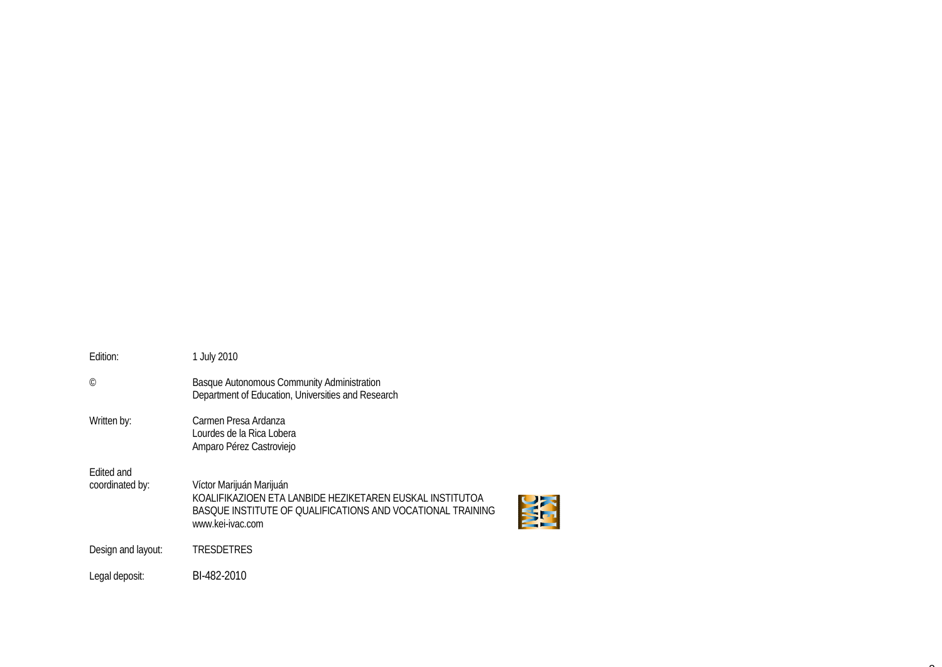| Fdition:                      | 1 July 2010                                                                                                                                                            |
|-------------------------------|------------------------------------------------------------------------------------------------------------------------------------------------------------------------|
| $\odot$                       | <b>Basque Autonomous Community Administration</b><br>Department of Education, Universities and Research                                                                |
| Written by:                   | Carmen Presa Ardanza<br>Lourdes de la Rica Lobera<br>Amparo Pérez Castroviejo                                                                                          |
| Edited and<br>coordinated by: | Víctor Marijuán Marijuán<br>KOALIFIKAZIOEN ETA LANBIDE HEZIKETAREN EUSKAL INSTITUTOA<br>BASQUE INSTITUTE OF QUALIFICATIONS AND VOCATIONAL TRAINING<br>www.kei-ivac.com |
| Design and layout:            | TRESDETRES                                                                                                                                                             |
| Legal deposit:                | BI-482-2010                                                                                                                                                            |

 $\sim$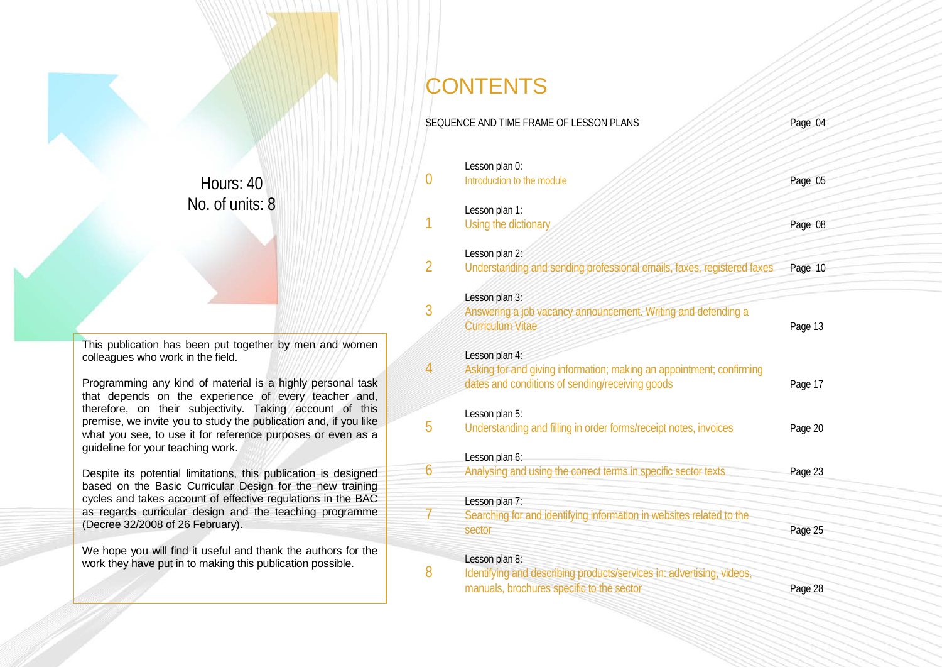Hours: 40 No. of units: 8

This publication has been put together by men and women colleagues who work in the field.

Programming any kind of material is a highly personal task that depends on the experience of every teacher and, therefore, on their subjectivity. Taking account of this premise, we invite you to study the publication and, if you like what you see, to use it for reference purposes or even as a guideline for your teaching work.

Despite its potential limitations, this publication is designed based on the Basic Curricular Design for the new training cycles and takes account of effective regulations in the BAC as regards curricular design and the teaching programme (Decree 32/2008 of 26 February).

We hope you will find it useful and thank the authors for the work they have put in to making this publication possible.

## **CONTENTS**

|                | SEQUENCE AND TIME FRAME OF LESSON PLANS                                                                                                   | Page 04 |
|----------------|-------------------------------------------------------------------------------------------------------------------------------------------|---------|
| $\overline{0}$ | Lesson plan 0:<br>Introduction to the module                                                                                              | Page 05 |
| 1              | Lesson plan 1:<br>Using the dictionary                                                                                                    | Page 08 |
| $\overline{2}$ | Lesson plan 2:<br>Understanding and sending professional emails, faxes, registered faxes                                                  | Page 10 |
| 3              | Lesson plan 3:<br>Answering a job vacancy announcement. Writing and defending a<br><b>Curriculum Vitae</b>                                | Page 13 |
| $\overline{4}$ | Lesson plan 4:<br>Asking for and giving information; making an appointment; confirming<br>dates and conditions of sending/receiving goods | Page 17 |
| 5              | Lesson plan 5:<br>Understanding and filling in order forms/receipt notes, invoices                                                        | Page 20 |
| 6              | Lesson plan 6:<br>Analysing and using the correct terms in specific sector texts                                                          | Page 23 |
|                | Lesson plan 7:<br>Searching for and identifying information in websites related to the<br>sector                                          | Page 25 |
| 8              | Lesson plan 8:<br>Identifying and describing products/services in: advertising, videos,<br>manuals, brochures specific to the sector      | Page 28 |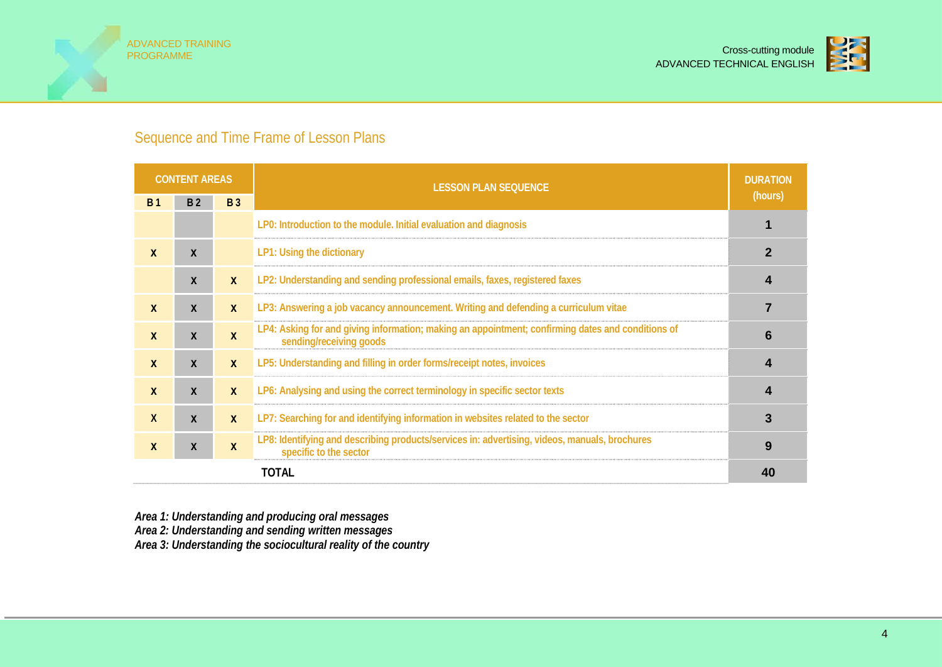



## Sequence and Time Frame of Lesson Plans

|              | <b>CONTENT AREAS</b> |              | <b>LESSON PLAN SEQUENCE</b>                                                                                                  | <b>DURATION</b> |
|--------------|----------------------|--------------|------------------------------------------------------------------------------------------------------------------------------|-----------------|
| <b>B</b> 1   | B <sub>2</sub>       | <b>B</b> 3   |                                                                                                                              | (hours)         |
|              |                      |              | LP0: Introduction to the module. Initial evaluation and diagnosis                                                            |                 |
| $\mathbf{x}$ | $\mathbf{x}$         |              | LP1: Using the dictionary                                                                                                    |                 |
|              | $\boldsymbol{X}$     | $\mathbf{X}$ | LP2: Understanding and sending professional emails, faxes, registered faxes                                                  |                 |
| $\mathbf{x}$ | $\boldsymbol{X}$     | $\mathbf{X}$ | LP3: Answering a job vacancy announcement. Writing and defending a curriculum vitae                                          |                 |
| $\mathbf{x}$ | $\boldsymbol{X}$     | $\mathbf{x}$ | LP4: Asking for and giving information; making an appointment; confirming dates and conditions of<br>sending/receiving goods | 6               |
| $\mathbf{x}$ | $\boldsymbol{X}$     | $\mathbf{X}$ | LP5: Understanding and filling in order forms/receipt notes, invoices                                                        |                 |
| X            | $\boldsymbol{X}$     | $\mathbf{x}$ | LP6: Analysing and using the correct terminology in specific sector texts                                                    |                 |
| X            | $\boldsymbol{X}$     | $\mathbf{x}$ | LP7: Searching for and identifying information in websites related to the sector                                             | 3               |
| X            | $\boldsymbol{X}$     | $\mathbf{x}$ | LP8: Identifying and describing products/services in: advertising, videos, manuals, brochures<br>specific to the sector      | 9               |
|              |                      |              | <b>TOTAL</b>                                                                                                                 | 40              |

*Area 1: Understanding and producing oral messages Area 2: Understanding and sending written messages*

*Area 3: Understanding the sociocultural reality of the country*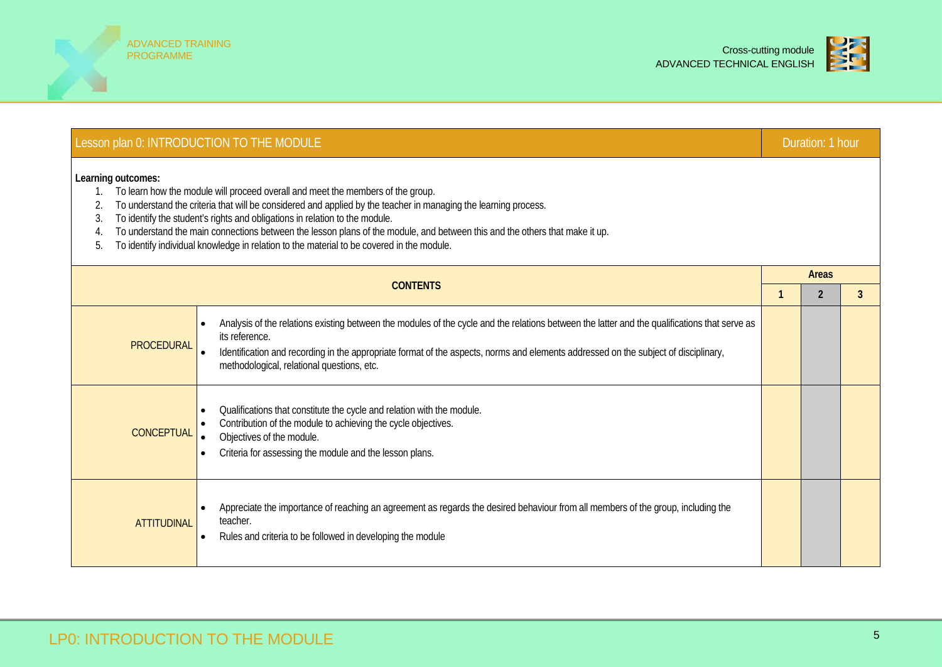



|                                            | Lesson plan 0: INTRODUCTION TO THE MODULE                                                                                                                                                                                                                                                                                                                                                                                                                                                                     |  | Duration: 1 hour |   |  |  |  |  |  |  |  |
|--------------------------------------------|---------------------------------------------------------------------------------------------------------------------------------------------------------------------------------------------------------------------------------------------------------------------------------------------------------------------------------------------------------------------------------------------------------------------------------------------------------------------------------------------------------------|--|------------------|---|--|--|--|--|--|--|--|
| Learning outcomes:<br>1.<br>2.<br>3.<br>5. | To learn how the module will proceed overall and meet the members of the group.<br>To understand the criteria that will be considered and applied by the teacher in managing the learning process.<br>To identify the student's rights and obligations in relation to the module.<br>To understand the main connections between the lesson plans of the module, and between this and the others that make it up.<br>To identify individual knowledge in relation to the material to be covered in the module. |  |                  |   |  |  |  |  |  |  |  |
|                                            | <b>CONTENTS</b>                                                                                                                                                                                                                                                                                                                                                                                                                                                                                               |  |                  |   |  |  |  |  |  |  |  |
| <b>PROCEDURAL</b>                          | Analysis of the relations existing between the modules of the cycle and the relations between the latter and the qualifications that serve as<br>$\bullet$<br>its reference.<br>Identification and recording in the appropriate format of the aspects, norms and elements addressed on the subject of disciplinary,<br>methodological, relational questions, etc.                                                                                                                                             |  | $\overline{2}$   | 3 |  |  |  |  |  |  |  |
| <b>CONCEPTUAL</b>                          | Qualifications that constitute the cycle and relation with the module.<br>Contribution of the module to achieving the cycle objectives.<br>Objectives of the module.<br>Criteria for assessing the module and the lesson plans.                                                                                                                                                                                                                                                                               |  |                  |   |  |  |  |  |  |  |  |
| <b>ATTITUDINAL</b>                         | Appreciate the importance of reaching an agreement as regards the desired behaviour from all members of the group, including the<br>teacher.<br>Rules and criteria to be followed in developing the module                                                                                                                                                                                                                                                                                                    |  |                  |   |  |  |  |  |  |  |  |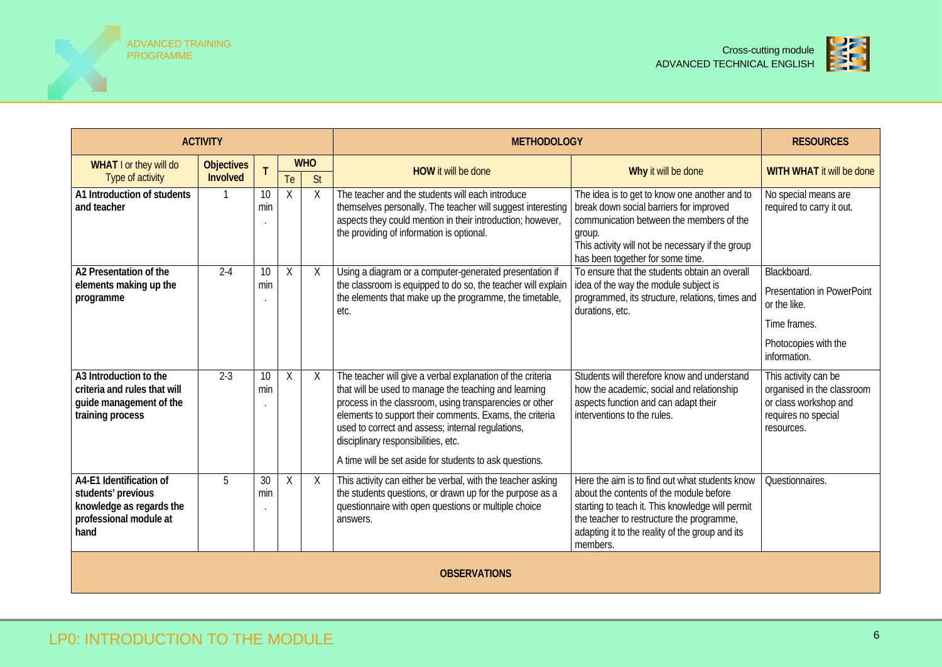



|                                                                                                             | <b>ACTIVITY</b>               |           |          |                  | <b>METHODOLOGY</b>                                                                                                                                                                                                                                                                                                                                                                               | <b>RESOURCES</b>                                                                                                                                                                                                                                          |                                                                                                                          |  |  |
|-------------------------------------------------------------------------------------------------------------|-------------------------------|-----------|----------|------------------|--------------------------------------------------------------------------------------------------------------------------------------------------------------------------------------------------------------------------------------------------------------------------------------------------------------------------------------------------------------------------------------------------|-----------------------------------------------------------------------------------------------------------------------------------------------------------------------------------------------------------------------------------------------------------|--------------------------------------------------------------------------------------------------------------------------|--|--|
| WHAT I or they will do<br>Type of activity                                                                  | <b>Objectives</b><br>Involved |           | Te       | <b>WHO</b><br>St | <b>HOW it will be done</b>                                                                                                                                                                                                                                                                                                                                                                       | Why it will be done                                                                                                                                                                                                                                       | WITH WHAT it will be done                                                                                                |  |  |
| A1 Introduction of students<br>and teacher                                                                  |                               | 10<br>min | $\chi$   | X                | The teacher and the students will each introduce<br>themselves personally. The teacher will suggest interesting<br>aspects they could mention in their introduction; however,<br>the providing of information is optional.                                                                                                                                                                       | The idea is to get to know one another and to<br>break down social barriers for improved<br>communication between the members of the<br>group.<br>This activity will not be necessary if the group<br>has been together for some time.                    | No special means are<br>required to carry it out.                                                                        |  |  |
| A2 Presentation of the<br>elements making up the<br>programme                                               | $2 - 4$                       | 10<br>min | Χ        | X                | Using a diagram or a computer-generated presentation if<br>the classroom is equipped to do so, the teacher will explain<br>the elements that make up the programme, the timetable,<br>etc.                                                                                                                                                                                                       | To ensure that the students obtain an overall<br>idea of the way the module subject is<br>programmed, its structure, relations, times and<br>durations, etc.                                                                                              | Blackboard.<br><b>Presentation in PowerPoint</b><br>or the like.<br>Time frames.<br>Photocopies with the<br>information. |  |  |
| A3 Introduction to the<br>criteria and rules that will<br>guide management of the<br>training process       | $2 - 3$                       | 10<br>min | $\times$ | X                | The teacher will give a verbal explanation of the criteria<br>that will be used to manage the teaching and learning<br>process in the classroom, using transparencies or other<br>elements to support their comments. Exams, the criteria<br>used to correct and assess; internal regulations,<br>disciplinary responsibilities, etc.<br>A time will be set aside for students to ask questions. | Students will therefore know and understand<br>how the academic, social and relationship<br>aspects function and can adapt their<br>interventions to the rules.                                                                                           | This activity can be<br>organised in the classroom<br>or class workshop and<br>requires no special<br>resources.         |  |  |
| A4-E1 Identification of<br>students' previous<br>knowledge as regards the<br>professional module at<br>hand | 5                             | 30<br>min | X        | X                | This activity can either be verbal, with the teacher asking<br>the students questions, or drawn up for the purpose as a<br>questionnaire with open questions or multiple choice<br>answers.                                                                                                                                                                                                      | Here the aim is to find out what students know<br>about the contents of the module before<br>starting to teach it. This knowledge will permit<br>the teacher to restructure the programme,<br>adapting it to the reality of the group and its<br>members. | Questionnaires.                                                                                                          |  |  |
|                                                                                                             | <b>OBSERVATIONS</b>           |           |          |                  |                                                                                                                                                                                                                                                                                                                                                                                                  |                                                                                                                                                                                                                                                           |                                                                                                                          |  |  |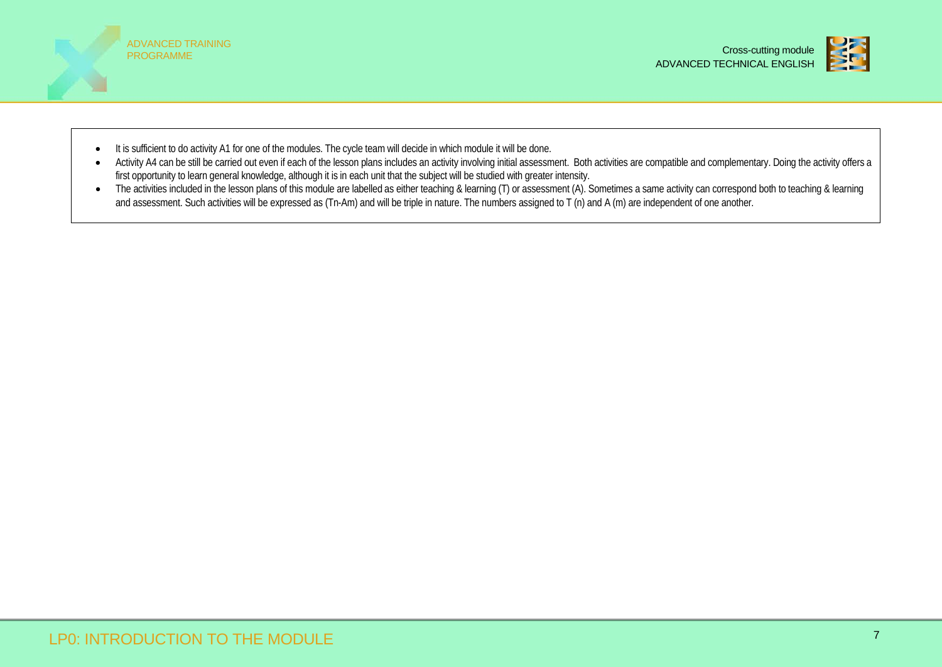



- It is sufficient to do activity A1 for one of the modules. The cycle team will decide in which module it will be done.
- Activity A4 can be still be carried out even if each of the lesson plans includes an activity involving initial assessment. Both activities are compatible and complementary. Doing the activity offers a first opportunity to learn general knowledge, although it is in each unit that the subject will be studied with greater intensity.
- The activities included in the lesson plans of this module are labelled as either teaching & learning (T) or assessment (A). Sometimes a same activity can correspond both to teaching & learning and assessment. Such activities will be expressed as (Tn-Am) and will be triple in nature. The numbers assigned to T (n) and A (m) are independent of one another.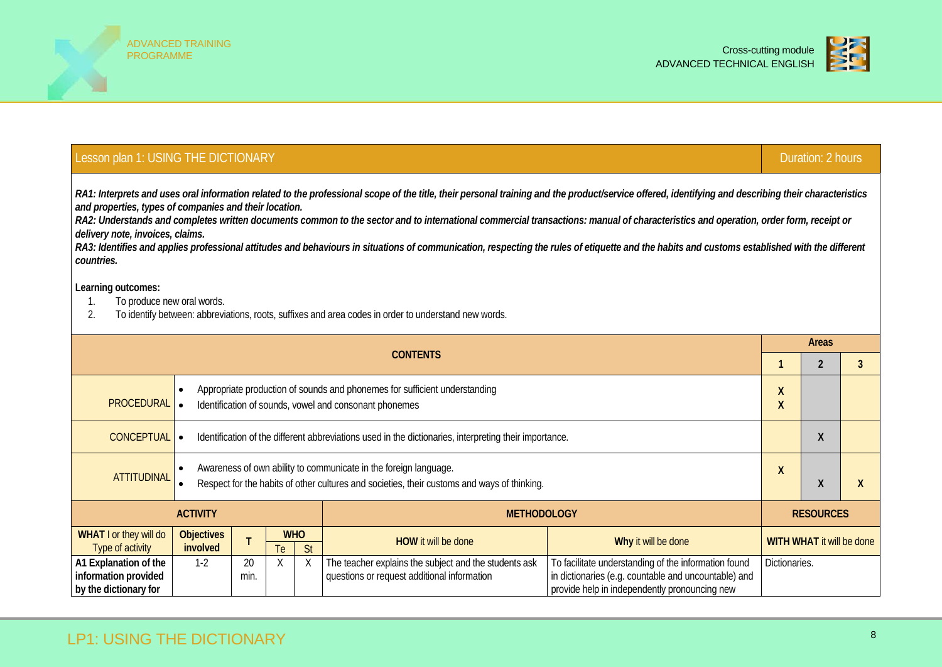



## Lesson plan 1: USING THE DICTIONARY DURATION CONTROL CONTROL CONTROL CONTROL CONTROL CONTROL CONTROL CONTROL CO

*RA1: Interprets and uses oral information related to the professional scope of the title, their personal training and the product/service offered, identifying and describing their characteristics and properties, types of companies and their location.*

*RA2: Understands and completes written documents common to the sector and to international commercial transactions: manual of characteristics and operation, order form, receipt or delivery note, invoices, claims.*

RA3: Identifies and applies professional attitudes and behaviours in situations of communication, respecting the rules of etiquette and the habits and customs established with the different *countries.*

- 1. To produce new oral words.
- 2. To identify between: abbreviations, roots, suffixes and area codes in order to understand new words.

|                                                                        |                                                                                                                                                                              |                                                                                                                                      |           |                                  | <b>CONTENTS</b>                                                                                      |                                                                                                                                                               | <b>Areas</b>     |  |  |  |
|------------------------------------------------------------------------|------------------------------------------------------------------------------------------------------------------------------------------------------------------------------|--------------------------------------------------------------------------------------------------------------------------------------|-----------|----------------------------------|------------------------------------------------------------------------------------------------------|---------------------------------------------------------------------------------------------------------------------------------------------------------------|------------------|--|--|--|
|                                                                        |                                                                                                                                                                              |                                                                                                                                      |           |                                  |                                                                                                      |                                                                                                                                                               |                  |  |  |  |
| <b>PROCEDURAL</b>                                                      | ٠                                                                                                                                                                            | Appropriate production of sounds and phonemes for sufficient understanding<br>Identification of sounds, vowel and consonant phonemes |           |                                  |                                                                                                      |                                                                                                                                                               |                  |  |  |  |
| CONCEPTUAL .                                                           |                                                                                                                                                                              | Identification of the different abbreviations used in the dictionaries, interpreting their importance.                               |           |                                  |                                                                                                      |                                                                                                                                                               |                  |  |  |  |
| <b>ATTITUDINAL</b>                                                     | Awareness of own ability to communicate in the foreign language.<br>$\bullet$<br>Respect for the habits of other cultures and societies, their customs and ways of thinking. |                                                                                                                                      |           |                                  |                                                                                                      |                                                                                                                                                               |                  |  |  |  |
|                                                                        | <b>ACTIVITY</b>                                                                                                                                                              |                                                                                                                                      |           |                                  | <b>METHODOLOGY</b>                                                                                   |                                                                                                                                                               | <b>RESOURCES</b> |  |  |  |
| WHAT I or they will do<br>Type of activity                             | <b>Objectives</b><br>involved                                                                                                                                                | Why it will be done                                                                                                                  |           | <b>WITH WHAT it will be done</b> |                                                                                                      |                                                                                                                                                               |                  |  |  |  |
| A1 Explanation of the<br>information provided<br>by the dictionary for | $1-2$                                                                                                                                                                        | 20<br>min.                                                                                                                           | Te i<br>X | <b>St</b><br>Χ                   | The teacher explains the subject and the students ask<br>questions or request additional information | To facilitate understanding of the information found<br>in dictionaries (e.g. countable and uncountable) and<br>provide help in independently pronouncing new | Dictionaries.    |  |  |  |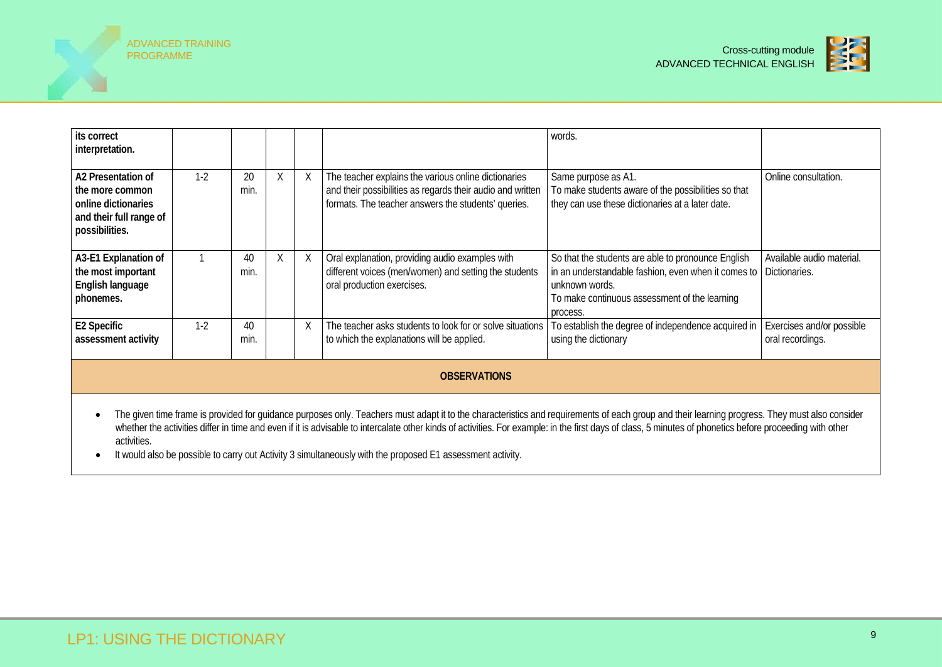



| its correct<br>interpretation.                                                                                                                                                                                                                                                                                                                                                                                                         |       |            |   |   |                                                                                                                                                                           | words.                                                                                                                                                                                                   |                                               |  |
|----------------------------------------------------------------------------------------------------------------------------------------------------------------------------------------------------------------------------------------------------------------------------------------------------------------------------------------------------------------------------------------------------------------------------------------|-------|------------|---|---|---------------------------------------------------------------------------------------------------------------------------------------------------------------------------|----------------------------------------------------------------------------------------------------------------------------------------------------------------------------------------------------------|-----------------------------------------------|--|
| A2 Presentation of<br>the more common<br>online dictionaries<br>and their full range of<br>possibilities.                                                                                                                                                                                                                                                                                                                              | $1-2$ | 20<br>min. | Χ | X | The teacher explains the various online dictionaries<br>and their possibilities as regards their audio and written<br>formats. The teacher answers the students' queries. | Same purpose as A1.<br>To make students aware of the possibilities so that<br>they can use these dictionaries at a later date.                                                                           | Online consultation.                          |  |
| A3-E1 Explanation of<br>the most important<br>English language<br>phonemes.                                                                                                                                                                                                                                                                                                                                                            |       | 40<br>min. | Χ | X | Oral explanation, providing audio examples with<br>different voices (men/women) and setting the students<br>oral production exercises.                                    | So that the students are able to pronounce English<br>in an understandable fashion, even when it comes to   Dictionaries.<br>unknown words.<br>To make continuous assessment of the learning<br>process. | Available audio material.                     |  |
| E2 Specific<br>assessment activity                                                                                                                                                                                                                                                                                                                                                                                                     | $1-2$ | 40<br>min. |   | X | The teacher asks students to look for or solve situations<br>to which the explanations will be applied.                                                                   | To establish the degree of independence acquired in<br>using the dictionary                                                                                                                              | Exercises and/or possible<br>oral recordings. |  |
| <b>OBSERVATIONS</b>                                                                                                                                                                                                                                                                                                                                                                                                                    |       |            |   |   |                                                                                                                                                                           |                                                                                                                                                                                                          |                                               |  |
| The given time frame is provided for guidance purposes only. Teachers must adapt it to the characteristics and requirements of each group and their learning progress. They must also consider<br>$\bullet$<br>whether the activities differ in time and even if it is advisable to intercalate other kinds of activities. For example: in the first days of class, 5 minutes of phonetics before proceeding with other<br>activities. |       |            |   |   |                                                                                                                                                                           |                                                                                                                                                                                                          |                                               |  |

• It would also be possible to carry out Activity 3 simultaneously with the proposed E1 assessment activity.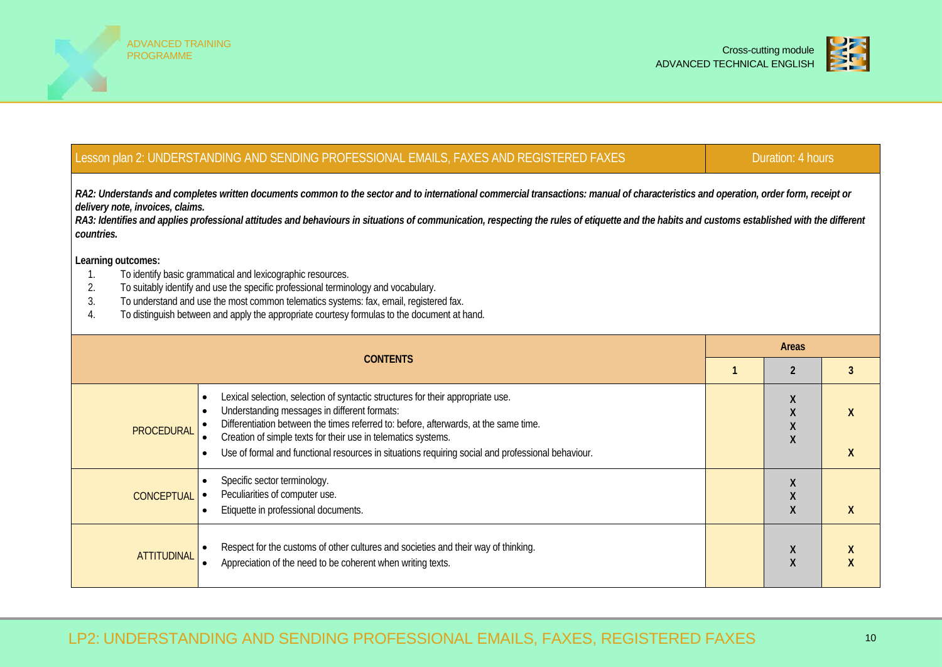



## Lesson plan 2: UNDERSTANDING AND SENDING PROFESSIONAL EMAILS, FAXES AND REGISTERED FAXES DURATION: 4 hours

RA2: Understands and completes written documents common to the sector and to international commercial transactions: manual of characteristics and operation, order form, receipt or *delivery note, invoices, claims.*

RA3: Identifies and applies professional attitudes and behaviours in situations of communication, respecting the rules of etiquette and the habits and customs established with the different *countries.*

- 1. To identify basic grammatical and lexicographic resources.
- 2. To suitably identify and use the specific professional terminology and vocabulary.
- 3. To understand and use the most common telematics systems: fax, email, registered fax.<br>4. To distinguish between and apply the appropriate courtesy formulas to the document at h
- To distinguish between and apply the appropriate courtesy formulas to the document at hand.

|                    | <b>CONTENTS</b>                                                                                                                                                                                                                                                                                                                                                                                                         |  |        |  |  |  |  |  |  |  |
|--------------------|-------------------------------------------------------------------------------------------------------------------------------------------------------------------------------------------------------------------------------------------------------------------------------------------------------------------------------------------------------------------------------------------------------------------------|--|--------|--|--|--|--|--|--|--|
|                    |                                                                                                                                                                                                                                                                                                                                                                                                                         |  |        |  |  |  |  |  |  |  |
| PROCEDURAL         | Lexical selection, selection of syntactic structures for their appropriate use.<br>Understanding messages in different formats:<br>$\bullet$<br>Differentiation between the times referred to: before, afterwards, at the same time.<br>Creation of simple texts for their use in telematics systems.<br>Use of formal and functional resources in situations requiring social and professional behaviour.<br>$\bullet$ |  | X      |  |  |  |  |  |  |  |
| <b>CONCEPTUAL</b>  | Specific sector terminology.<br>Peculiarities of computer use.<br>Etiquette in professional documents.<br>$\bullet$                                                                                                                                                                                                                                                                                                     |  |        |  |  |  |  |  |  |  |
| <b>ATTITUDINAL</b> | Respect for the customs of other cultures and societies and their way of thinking.<br>Appreciation of the need to be coherent when writing texts.                                                                                                                                                                                                                                                                       |  | X<br>X |  |  |  |  |  |  |  |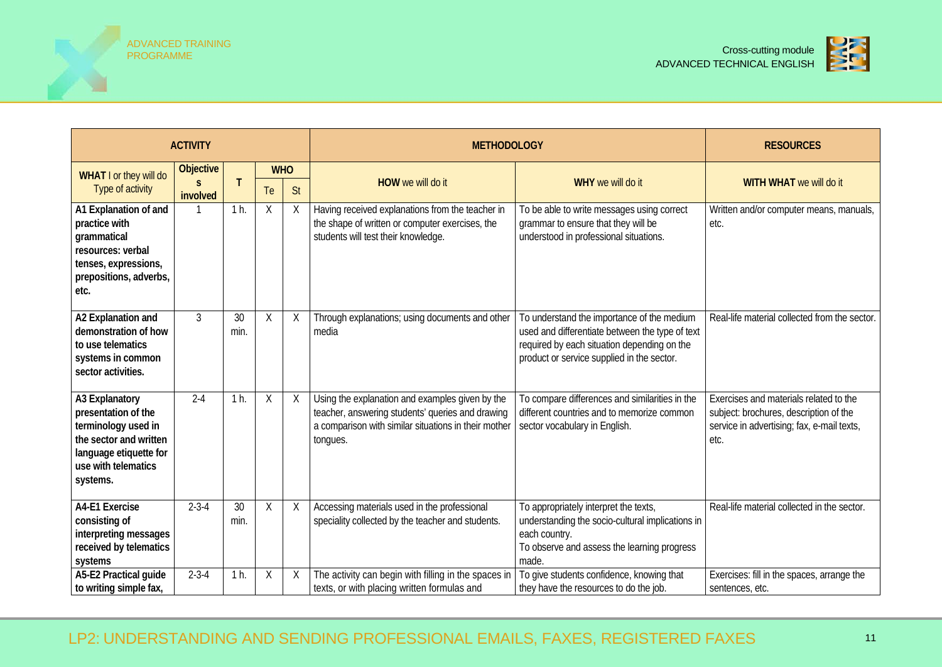



|                                                                                                                                                     | <b>ACTIVITY</b>       |            |            |           | <b>METHODOLOGY</b>                                                                                                                                                      | <b>RESOURCES</b>                                                                                                                                                                           |                                                                                                                                        |
|-----------------------------------------------------------------------------------------------------------------------------------------------------|-----------------------|------------|------------|-----------|-------------------------------------------------------------------------------------------------------------------------------------------------------------------------|--------------------------------------------------------------------------------------------------------------------------------------------------------------------------------------------|----------------------------------------------------------------------------------------------------------------------------------------|
| WHAT I or they will do                                                                                                                              | <b>Objective</b><br>S |            | <b>WHO</b> |           | HOW we will do it                                                                                                                                                       | WHY we will do it                                                                                                                                                                          | WITH WHAT we will do it                                                                                                                |
| Type of activity                                                                                                                                    | involved              |            | Te         | <b>St</b> |                                                                                                                                                                         |                                                                                                                                                                                            |                                                                                                                                        |
| A1 Explanation of and<br>practice with<br>grammatical<br>resources: verbal<br>tenses, expressions,<br>prepositions, adverbs,<br>etc.                |                       | $1h$ .     | Χ          | Χ         | Having received explanations from the teacher in<br>the shape of written or computer exercises, the<br>students will test their knowledge.                              | To be able to write messages using correct<br>grammar to ensure that they will be<br>understood in professional situations.                                                                | Written and/or computer means, manuals,<br>etc.                                                                                        |
| A2 Explanation and<br>demonstration of how<br>to use telematics<br>systems in common<br>sector activities.                                          | $\mathbf{3}$          | 30<br>min. | X          | X         | Through explanations; using documents and other<br>media                                                                                                                | To understand the importance of the medium<br>used and differentiate between the type of text<br>required by each situation depending on the<br>product or service supplied in the sector. | Real-life material collected from the sector.                                                                                          |
| A3 Explanatory<br>presentation of the<br>terminology used in<br>the sector and written<br>language etiquette for<br>use with telematics<br>systems. | $2 - 4$               | $1h$ .     | Χ          | Χ         | Using the explanation and examples given by the<br>teacher, answering students' queries and drawing<br>a comparison with similar situations in their mother<br>tongues. | To compare differences and similarities in the<br>different countries and to memorize common<br>sector vocabulary in English.                                                              | Exercises and materials related to the<br>subject: brochures, description of the<br>service in advertising; fax, e-mail texts,<br>etc. |
| A4-E1 Exercise<br>consisting of<br>interpreting messages<br>received by telematics<br>systems                                                       | $2 - 3 - 4$           | 30<br>min. | $\times$   | Χ         | Accessing materials used in the professional<br>speciality collected by the teacher and students.                                                                       | To appropriately interpret the texts,<br>understanding the socio-cultural implications in<br>each country.<br>To observe and assess the learning progress<br>made.                         | Real-life material collected in the sector.                                                                                            |
| A5-E2 Practical guide<br>to writing simple fax,                                                                                                     | $2 - 3 - 4$           | $1h$ .     | Χ          |           | The activity can begin with filling in the spaces in<br>texts, or with placing written formulas and                                                                     | To give students confidence, knowing that<br>they have the resources to do the job.                                                                                                        | Exercises: fill in the spaces, arrange the<br>sentences, etc.                                                                          |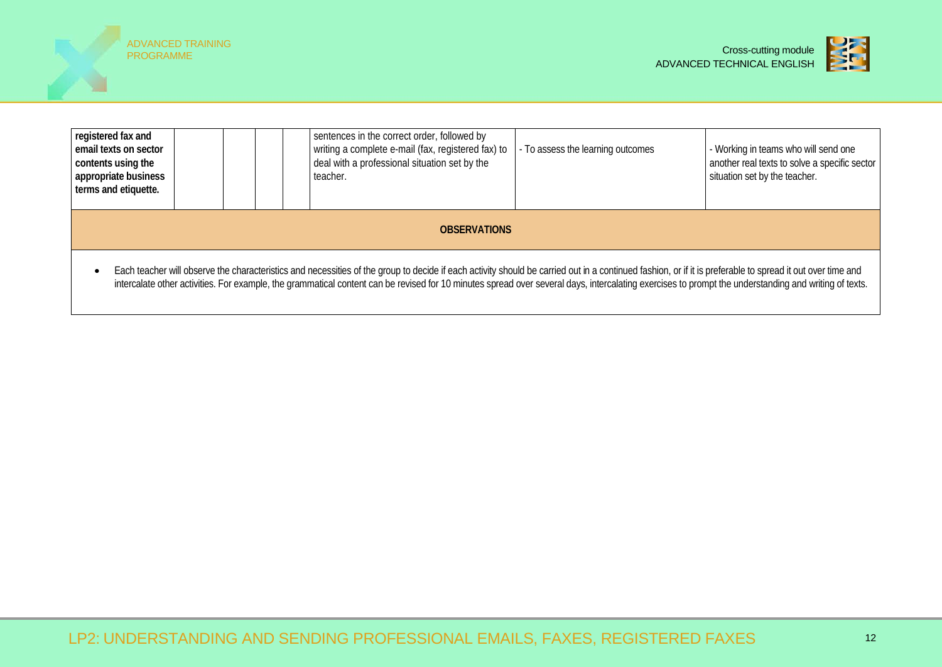



| registered fax and<br>email texts on sector<br>contents using the<br>appropriate business<br>terms and etiquette.                                                                                                                                                                                                                                                                                                 |  |  |  |  | sentences in the correct order, followed by<br>writing a complete e-mail (fax, registered fax) to<br>deal with a professional situation set by the<br>teacher. | - To assess the learning outcomes | - Working in teams who will send one<br>another real texts to solve a specific sector<br>situation set by the teacher. |
|-------------------------------------------------------------------------------------------------------------------------------------------------------------------------------------------------------------------------------------------------------------------------------------------------------------------------------------------------------------------------------------------------------------------|--|--|--|--|----------------------------------------------------------------------------------------------------------------------------------------------------------------|-----------------------------------|------------------------------------------------------------------------------------------------------------------------|
| <b>OBSERVATIONS</b>                                                                                                                                                                                                                                                                                                                                                                                               |  |  |  |  |                                                                                                                                                                |                                   |                                                                                                                        |
| Each teacher will observe the characteristics and necessities of the group to decide if each activity should be carried out in a continued fashion, or if it is preferable to spread it out over time and<br>intercalate other activities. For example, the grammatical content can be revised for 10 minutes spread over several days, intercalating exercises to prompt the understanding and writing of texts. |  |  |  |  |                                                                                                                                                                |                                   |                                                                                                                        |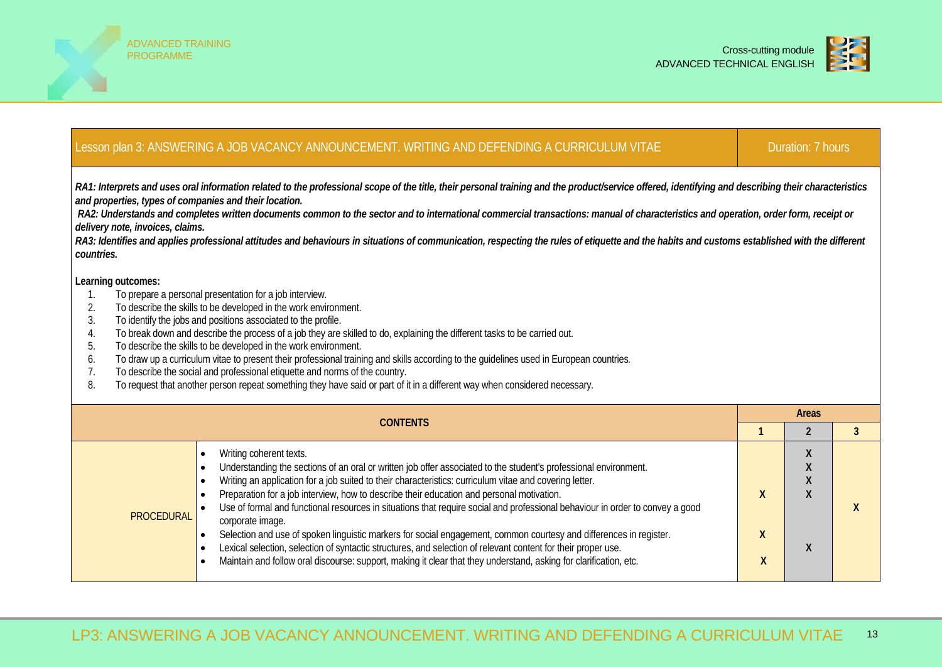



#### Lesson plan 3: ANSWERING A JOB VACANCY ANNOUNCEMENT. WRITING AND DEFENDING A CURRICULUM VITAE Duration: 7 hours *RA1: Interprets and uses oral information related to the professional scope of the title, their personal training and the product/service offered, identifying and describing their characteristics and properties, types of companies and their location. RA2: Understands and completes written documents common to the sector and to international commercial transactions: manual of characteristics and operation, order form, receipt or delivery note, invoices, claims.* RA3: Identifies and applies professional attitudes and behaviours in situations of communication, respecting the rules of etiquette and the habits and customs established with the different *countries.* **Learning outcomes:** 1. To prepare a personal presentation for a job interview. 2. To describe the skills to be developed in the work environment.<br>3. To identify the iobs and positions associated to the profile. To identify the jobs and positions associated to the profile. 4. To break down and describe the process of a job they are skilled to do, explaining the different tasks to be carried out. 5. To describe the skills to be developed in the work environment. 6. To draw up a curriculum vitae to present their professional training and skills according to the guidelines used in European countries. 7. To describe the social and professional etiquette and norms of the country. 8. To request that another person repeat something they have said or part of it in a different way when considered necessary. **CONTENTS Areas 1 2 3 PROCEDURAL** Writing coherent texts. • Understanding the sections of an oral or written job offer associated to the student's professional environment. • Writing an application for a job suited to their characteristics: curriculum vitae and covering letter. • Preparation for a job interview, how to describe their education and personal motivation. • Use of formal and functional resources in situations that require social and professional behaviour in order to convey a good corporate image. • Selection and use of spoken linguistic markers for social engagement, common courtesy and differences in register. • Lexical selection, selection of syntactic structures, and selection of relevant content for their proper use. • Maintain and follow oral discourse: support, making it clear that they understand, asking for clarification, etc. **X X X X X X X X X**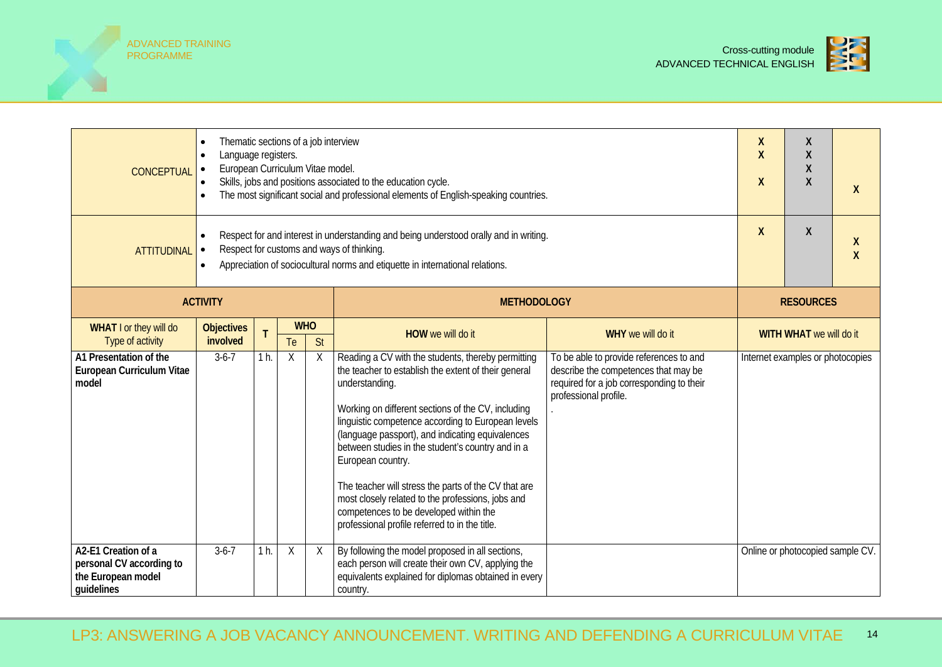ADVANCED TRAINING



| <b>CONCEPTUAL</b>                                                                                                                                                                                                                                      | Thematic sections of a job interview<br>Language registers.<br>$\bullet$<br>European Curriculum Vitae model.<br>$\bullet$<br>Skills, jobs and positions associated to the education cycle.<br>The most significant social and professional elements of English-speaking countries. |                |                    |                  |                                                                                                                                                                                                                                                                                                                                                                                                                                                                                                                                                                                 |                                                                                                                                                       |  |                                  |                   |
|--------------------------------------------------------------------------------------------------------------------------------------------------------------------------------------------------------------------------------------------------------|------------------------------------------------------------------------------------------------------------------------------------------------------------------------------------------------------------------------------------------------------------------------------------|----------------|--------------------|------------------|---------------------------------------------------------------------------------------------------------------------------------------------------------------------------------------------------------------------------------------------------------------------------------------------------------------------------------------------------------------------------------------------------------------------------------------------------------------------------------------------------------------------------------------------------------------------------------|-------------------------------------------------------------------------------------------------------------------------------------------------------|--|----------------------------------|-------------------|
| Respect for and interest in understanding and being understood orally and in writing.<br>Respect for customs and ways of thinking.<br><b>ATTITUDINAL</b><br>Appreciation of sociocultural norms and etiquette in international relations.<br>$\bullet$ |                                                                                                                                                                                                                                                                                    |                |                    |                  |                                                                                                                                                                                                                                                                                                                                                                                                                                                                                                                                                                                 |                                                                                                                                                       |  |                                  | X<br>$\mathsf{X}$ |
|                                                                                                                                                                                                                                                        | <b>ACTIVITY</b>                                                                                                                                                                                                                                                                    |                | <b>METHODOLOGY</b> |                  |                                                                                                                                                                                                                                                                                                                                                                                                                                                                                                                                                                                 |                                                                                                                                                       |  | <b>RESOURCES</b>                 |                   |
| WHAT I or they will do<br>Type of activity                                                                                                                                                                                                             | <b>Objectives</b><br>involved                                                                                                                                                                                                                                                      | T              | Te                 | <b>WHO</b><br>St | HOW we will do it                                                                                                                                                                                                                                                                                                                                                                                                                                                                                                                                                               | WHY we will do it                                                                                                                                     |  | WITH WHAT we will do it          |                   |
| A1 Presentation of the<br>European Curriculum Vitae<br>model                                                                                                                                                                                           | $3-6-7$                                                                                                                                                                                                                                                                            | $1h$ .         | X                  | X                | Reading a CV with the students, thereby permitting<br>the teacher to establish the extent of their general<br>understanding.<br>Working on different sections of the CV, including<br>linguistic competence according to European levels<br>(language passport), and indicating equivalences<br>between studies in the student's country and in a<br>European country.<br>The teacher will stress the parts of the CV that are<br>most closely related to the professions, jobs and<br>competences to be developed within the<br>professional profile referred to in the title. | To be able to provide references to and<br>describe the competences that may be<br>required for a job corresponding to their<br>professional profile. |  | Internet examples or photocopies |                   |
| A2-E1 Creation of a<br>personal CV according to<br>the European model<br>quidelines                                                                                                                                                                    | $3-6-7$                                                                                                                                                                                                                                                                            | 1 <sub>h</sub> | $\sf X$            | X                | By following the model proposed in all sections,<br>each person will create their own CV, applying the<br>equivalents explained for diplomas obtained in every<br>country.                                                                                                                                                                                                                                                                                                                                                                                                      |                                                                                                                                                       |  | Online or photocopied sample CV. |                   |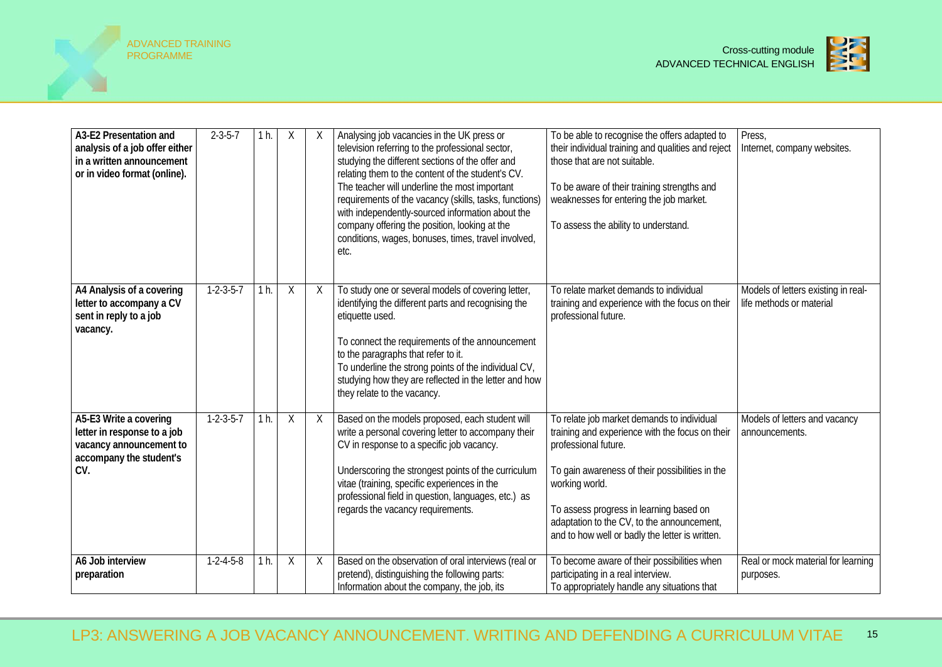



| A3-E2 Presentation and<br>analysis of a job offer either<br>in a written announcement<br>or in video format (online). | $2 - 3 - 5 - 7$     | 1 h. | Χ       | X | Analysing job vacancies in the UK press or<br>television referring to the professional sector,<br>studying the different sections of the offer and<br>relating them to the content of the student's CV.<br>The teacher will underline the most important<br>requirements of the vacancy (skills, tasks, functions)<br>with independently-sourced information about the<br>company offering the position, looking at the<br>conditions, wages, bonuses, times, travel involved,<br>etc. | To be able to recognise the offers adapted to<br>their individual training and qualities and reject<br>those that are not suitable.<br>To be aware of their training strengths and<br>weaknesses for entering the job market.<br>To assess the ability to understand.                                                                  | Press,<br>Internet, company websites.                           |
|-----------------------------------------------------------------------------------------------------------------------|---------------------|------|---------|---|----------------------------------------------------------------------------------------------------------------------------------------------------------------------------------------------------------------------------------------------------------------------------------------------------------------------------------------------------------------------------------------------------------------------------------------------------------------------------------------|----------------------------------------------------------------------------------------------------------------------------------------------------------------------------------------------------------------------------------------------------------------------------------------------------------------------------------------|-----------------------------------------------------------------|
| A4 Analysis of a covering<br>letter to accompany a CV<br>sent in reply to a job<br>vacancy.                           | $1 - 2 - 3 - 5 - 7$ | 1 h. | Χ       | X | To study one or several models of covering letter,<br>identifying the different parts and recognising the<br>etiquette used.<br>To connect the requirements of the announcement<br>to the paragraphs that refer to it.<br>To underline the strong points of the individual CV,<br>studying how they are reflected in the letter and how<br>they relate to the vacancy.                                                                                                                 | To relate market demands to individual<br>training and experience with the focus on their<br>professional future.                                                                                                                                                                                                                      | Models of letters existing in real-<br>life methods or material |
| A5-E3 Write a covering<br>letter in response to a job<br>vacancy announcement to<br>accompany the student's<br>CV.    | $1-2-3-5-7$         | 1 h. | $\sf X$ | X | Based on the models proposed, each student will<br>write a personal covering letter to accompany their<br>CV in response to a specific job vacancy.<br>Underscoring the strongest points of the curriculum<br>vitae (training, specific experiences in the<br>professional field in question, languages, etc.) as<br>regards the vacancy requirements.                                                                                                                                 | To relate job market demands to individual<br>training and experience with the focus on their<br>professional future.<br>To gain awareness of their possibilities in the<br>working world.<br>To assess progress in learning based on<br>adaptation to the CV, to the announcement,<br>and to how well or badly the letter is written. | Models of letters and vacancy<br>announcements.                 |
| A6 Job interview<br>preparation                                                                                       | $1 - 2 - 4 - 5 - 8$ | 1 h. | Χ       | X | Based on the observation of oral interviews (real or<br>pretend), distinguishing the following parts:<br>Information about the company, the job, its                                                                                                                                                                                                                                                                                                                                   | To become aware of their possibilities when<br>participating in a real interview.<br>To appropriately handle any situations that                                                                                                                                                                                                       | Real or mock material for learning<br>purposes.                 |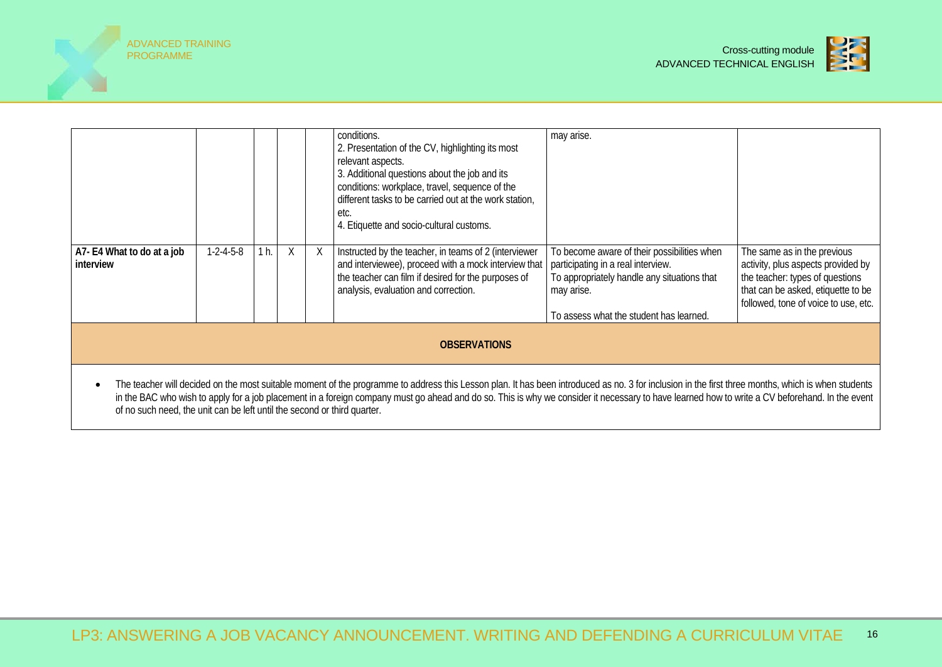



|                                                                                                                                                                                                                                                                                                                                                                                                      |                     |      |   |  | conditions.<br>2. Presentation of the CV, highlighting its most<br>relevant aspects.<br>3. Additional questions about the job and its<br>conditions: workplace, travel, sequence of the<br>different tasks to be carried out at the work station,<br>etc.<br>4. Etiquette and socio-cultural customs. | may arise.                                                                                                                                                                                |                                                                                                                                                                                    |  |  |
|------------------------------------------------------------------------------------------------------------------------------------------------------------------------------------------------------------------------------------------------------------------------------------------------------------------------------------------------------------------------------------------------------|---------------------|------|---|--|-------------------------------------------------------------------------------------------------------------------------------------------------------------------------------------------------------------------------------------------------------------------------------------------------------|-------------------------------------------------------------------------------------------------------------------------------------------------------------------------------------------|------------------------------------------------------------------------------------------------------------------------------------------------------------------------------------|--|--|
| A7- E4 What to do at a job<br>interview                                                                                                                                                                                                                                                                                                                                                              | $1 - 2 - 4 - 5 - 8$ | 1 h. | X |  | Instructed by the teacher, in teams of 2 (interviewer<br>and interviewee), proceed with a mock interview that<br>the teacher can film if desired for the purposes of<br>analysis, evaluation and correction.                                                                                          | To become aware of their possibilities when<br>participating in a real interview.<br>To appropriately handle any situations that<br>may arise.<br>To assess what the student has learned. | The same as in the previous<br>activity, plus aspects provided by<br>the teacher: types of questions<br>that can be asked, etiquette to be<br>followed, tone of voice to use, etc. |  |  |
|                                                                                                                                                                                                                                                                                                                                                                                                      |                     |      |   |  |                                                                                                                                                                                                                                                                                                       |                                                                                                                                                                                           |                                                                                                                                                                                    |  |  |
| <b>OBSERVATIONS</b>                                                                                                                                                                                                                                                                                                                                                                                  |                     |      |   |  |                                                                                                                                                                                                                                                                                                       |                                                                                                                                                                                           |                                                                                                                                                                                    |  |  |
| The teacher will decided on the most suitable moment of the programme to address this Lesson plan. It has been introduced as no. 3 for inclusion in the first three months, which is when students<br>in the BAC who wish to apply for a job placement in a foreign company must go ahead and do so. This is why we consider it necessary to have learned how to write a CV beforehand. In the event |                     |      |   |  |                                                                                                                                                                                                                                                                                                       |                                                                                                                                                                                           |                                                                                                                                                                                    |  |  |

of no such need, the unit can be left until the second or third quarter.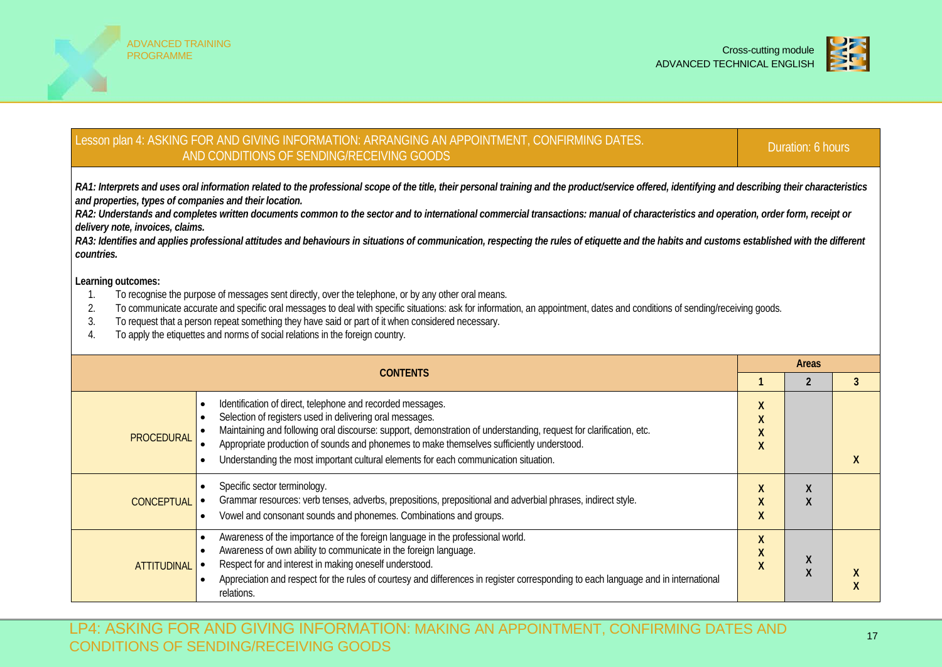



#### Lesson plan 4: ASKING FOR AND GIVING INFORMATION: ARRANGING AN APPOINTMENT, CONFIRMING DATES. G FOR AND GIVING INFORMATION. ARRANGING AN APPOINTMENT, CONFIRMING DATES.<br>AND CONDITIONS OF SENDING/RECEIVING GOODS *RA1: Interprets and uses oral information related to the professional scope of the title, their personal training and the product/service offered, identifying and describing their characteristics and properties, types of companies and their location.* RA2: Understands and completes written documents common to the sector and to international commercial transactions: manual of characteristics and operation, order form, receipt or *delivery note, invoices, claims.* RA3: Identifies and applies professional attitudes and behaviours in situations of communication, respecting the rules of etiquette and the habits and customs established with the different *countries.* **Learning outcomes:** 1. To recognise the purpose of messages sent directly, over the telephone, or by any other oral means. 2. To communicate accurate and specific oral messages to deal with specific situations: ask for information, an appointment, dates and conditions of sending/receiving goods. 3. To request that a person repeat something they have said or part of it when considered necessary. 4. To apply the etiquettes and norms of social relations in the foreign country. **CONTENTS Areas 1 2 3** PROCEDURAL • Identification of direct, telephone and recorded messages. • Selection of registers used in delivering oral messages. • Maintaining and following oral discourse: support, demonstration of understanding, request for clarification, etc. • Appropriate production of sounds and phonemes to make themselves sufficiently understood. • Understanding the most important cultural elements for each communication situation. **X X X X X CONCEPTUAL** Specific sector terminology. • Grammar resources: verb tenses, adverbs, prepositions, prepositional and adverbial phrases, indirect style. • Vowel and consonant sounds and phonemes. Combinations and groups. **X X X X X ATTITUDINAL** • Awareness of the importance of the foreign language in the professional world. • Awareness of own ability to communicate in the foreign language. • Respect for and interest in making oneself understood. • Appreciation and respect for the rules of courtesy and differences in register corresponding to each language and in international relations. **X X**  $\begin{array}{c} \begin{array}{c} x \\ y \end{array} \end{array}$ **X X X**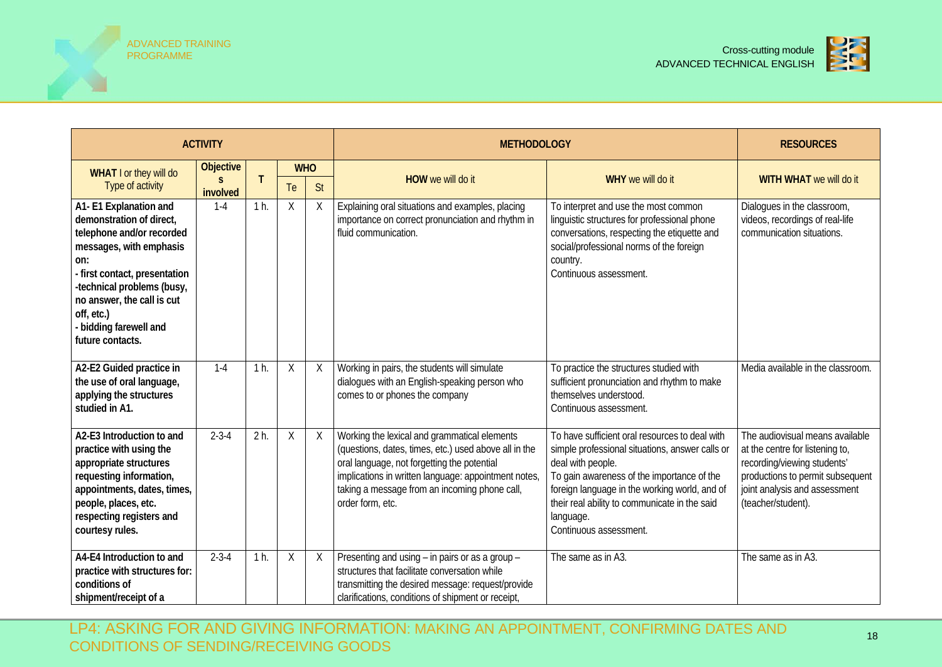



|                                                                                                                                                                                                                                                                         | <b>ACTIVITY</b>  |                |            |         | <b>METHODOLOGY</b>                                                                                                                                                                                                                                                                | <b>RESOURCES</b>                                                                                                                                                                                                                                                                                              |                                                                                                                                                                                              |  |  |
|-------------------------------------------------------------------------------------------------------------------------------------------------------------------------------------------------------------------------------------------------------------------------|------------------|----------------|------------|---------|-----------------------------------------------------------------------------------------------------------------------------------------------------------------------------------------------------------------------------------------------------------------------------------|---------------------------------------------------------------------------------------------------------------------------------------------------------------------------------------------------------------------------------------------------------------------------------------------------------------|----------------------------------------------------------------------------------------------------------------------------------------------------------------------------------------------|--|--|
| WHAT I or they will do                                                                                                                                                                                                                                                  | <b>Objective</b> |                | <b>WHO</b> |         |                                                                                                                                                                                                                                                                                   |                                                                                                                                                                                                                                                                                                               |                                                                                                                                                                                              |  |  |
| Type of activity                                                                                                                                                                                                                                                        | S.<br>involved   | Τ              | Te         | St      | HOW we will do it                                                                                                                                                                                                                                                                 | WHY we will do it                                                                                                                                                                                                                                                                                             | WITH WHAT we will do it                                                                                                                                                                      |  |  |
| A1-E1 Explanation and<br>demonstration of direct,<br>telephone and/or recorded<br>messages, with emphasis<br>on:<br>- first contact, presentation<br>-technical problems (busy,<br>no answer, the call is cut<br>off, etc.)<br>bidding farewell and<br>future contacts. | $1 - 4$          | 1 h.           | Χ          | X       | Explaining oral situations and examples, placing<br>importance on correct pronunciation and rhythm in<br>fluid communication.                                                                                                                                                     | To interpret and use the most common<br>linguistic structures for professional phone<br>conversations, respecting the etiquette and<br>social/professional norms of the foreign<br>country.<br>Continuous assessment.                                                                                         | Dialogues in the classroom,<br>videos, recordings of real-life<br>communication situations.                                                                                                  |  |  |
| A2-E2 Guided practice in<br>the use of oral language,<br>applying the structures<br>studied in A1.                                                                                                                                                                      | $1 - 4$          | 1 <sub>h</sub> | X          | $\sf X$ | Working in pairs, the students will simulate<br>dialogues with an English-speaking person who<br>comes to or phones the company                                                                                                                                                   | To practice the structures studied with<br>sufficient pronunciation and rhythm to make<br>themselves understood.<br>Continuous assessment.                                                                                                                                                                    | Media available in the classroom.                                                                                                                                                            |  |  |
| A2-E3 Introduction to and<br>practice with using the<br>appropriate structures<br>requesting information,<br>appointments, dates, times,<br>people, places, etc.<br>respecting registers and<br>courtesy rules.                                                         | $2 - 3 - 4$      | 2 <sub>h</sub> | Χ          | X       | Working the lexical and grammatical elements<br>(questions, dates, times, etc.) used above all in the<br>oral language, not forgetting the potential<br>implications in written language: appointment notes,<br>taking a message from an incoming phone call,<br>order form, etc. | To have sufficient oral resources to deal with<br>simple professional situations, answer calls or<br>deal with people.<br>To gain awareness of the importance of the<br>foreign language in the working world, and of<br>their real ability to communicate in the said<br>language.<br>Continuous assessment. | The audiovisual means available<br>at the centre for listening to,<br>recording/viewing students'<br>productions to permit subsequent<br>joint analysis and assessment<br>(teacher/student). |  |  |
| A4-E4 Introduction to and<br>practice with structures for:<br>conditions of<br>shipment/receipt of a                                                                                                                                                                    | $2 - 3 - 4$      | 1 <sub>h</sub> | X          | X       | Presenting and using - in pairs or as a group -<br>structures that facilitate conversation while<br>transmitting the desired message: request/provide<br>clarifications, conditions of shipment or receipt,                                                                       | The same as in A3.                                                                                                                                                                                                                                                                                            | The same as in A3.                                                                                                                                                                           |  |  |

LP4: ASKING FOR AND GIVING INFORMATION: MAKING AN APPOINTMENT, CONFIRMING DATES AND CONDITIONS OF SENDING/RECEIVING GOODS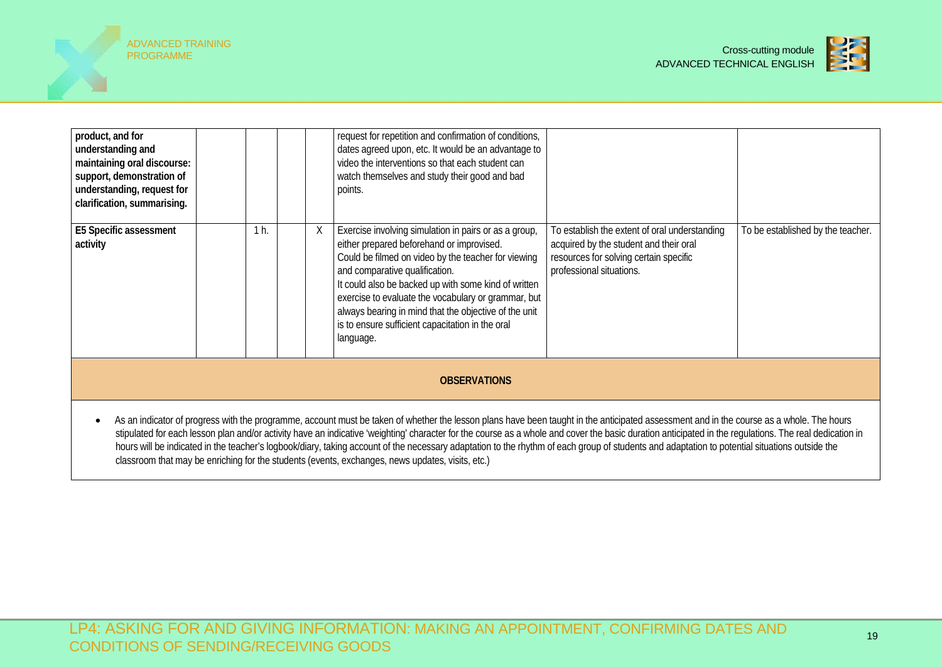



| product, and for<br>understanding and<br>maintaining oral discourse:<br>support, demonstration of<br>understanding, request for<br>clarification, summarising. |  |      |   | request for repetition and confirmation of conditions,<br>dates agreed upon, etc. It would be an advantage to<br>video the interventions so that each student can<br>watch themselves and study their good and bad<br>points.                                                                                                                                                                                                        |                                                                                                                                                               |                                   |  |  |  |
|----------------------------------------------------------------------------------------------------------------------------------------------------------------|--|------|---|--------------------------------------------------------------------------------------------------------------------------------------------------------------------------------------------------------------------------------------------------------------------------------------------------------------------------------------------------------------------------------------------------------------------------------------|---------------------------------------------------------------------------------------------------------------------------------------------------------------|-----------------------------------|--|--|--|
| E5 Specific assessment<br>activity                                                                                                                             |  | 1 h. | X | Exercise involving simulation in pairs or as a group,<br>either prepared beforehand or improvised.<br>Could be filmed on video by the teacher for viewing<br>and comparative qualification.<br>It could also be backed up with some kind of written<br>exercise to evaluate the vocabulary or grammar, but<br>always bearing in mind that the objective of the unit<br>is to ensure sufficient capacitation in the oral<br>language. | To establish the extent of oral understanding<br>acquired by the student and their oral<br>resources for solving certain specific<br>professional situations. | To be established by the teacher. |  |  |  |
| <b>OBSERVATIONS</b>                                                                                                                                            |  |      |   |                                                                                                                                                                                                                                                                                                                                                                                                                                      |                                                                                                                                                               |                                   |  |  |  |
|                                                                                                                                                                |  |      |   | As an indicator of progress with the programme, account must be taken of whether the lesson plans have been taught in the anticipated assessment and in the course as a whole. The hours                                                                                                                                                                                                                                             |                                                                                                                                                               |                                   |  |  |  |

stipulated for each lesson plan and/or activity have an indicative 'weighting' character for the course as a whole and cover the basic duration anticipated in the regulations. The real dedication in hours will be indicated in the teacher's logbook/diary, taking account of the necessary adaptation to the rhythm of each group of students and adaptation to potential situations outside the classroom that may be enriching for the students (events, exchanges, news updates, visits, etc.)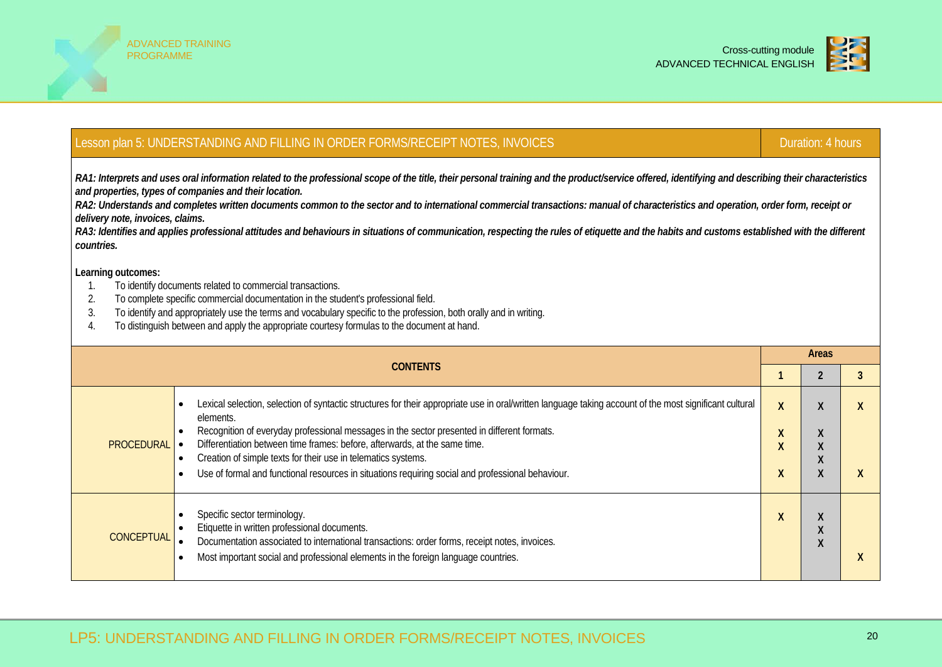



|                                                                                                                                                                                                                                                                                                                                                                                                                                                                                                                                                                                                                                                                                                         | Lesson plan 5: UNDERSTANDING AND FILLING IN ORDER FORMS/RECEIPT NOTES, INVOICES<br>Duration: 4 hours                                                                                                                                                                                                                                                                                                                                                                                                                                                           |                         |                                          |                                      |  |  |  |  |  |  |
|---------------------------------------------------------------------------------------------------------------------------------------------------------------------------------------------------------------------------------------------------------------------------------------------------------------------------------------------------------------------------------------------------------------------------------------------------------------------------------------------------------------------------------------------------------------------------------------------------------------------------------------------------------------------------------------------------------|----------------------------------------------------------------------------------------------------------------------------------------------------------------------------------------------------------------------------------------------------------------------------------------------------------------------------------------------------------------------------------------------------------------------------------------------------------------------------------------------------------------------------------------------------------------|-------------------------|------------------------------------------|--------------------------------------|--|--|--|--|--|--|
| RA1: Interprets and uses oral information related to the professional scope of the title, their personal training and the product/service offered, identifying and describing their characteristics<br>and properties, types of companies and their location.<br>RA2: Understands and completes written documents common to the sector and to international commercial transactions: manual of characteristics and operation, order form, receipt or<br>delivery note, invoices, claims.<br>RA3: Identifies and applies professional attitudes and behaviours in situations of communication, respecting the rules of etiquette and the habits and customs established with the different<br>countries. |                                                                                                                                                                                                                                                                                                                                                                                                                                                                                                                                                                |                         |                                          |                                      |  |  |  |  |  |  |
| Learning outcomes:<br>To identify documents related to commercial transactions.<br>1.<br>2.<br>To complete specific commercial documentation in the student's professional field.<br>To identify and appropriately use the terms and vocabulary specific to the profession, both orally and in writing.<br>3.<br>To distinguish between and apply the appropriate courtesy formulas to the document at hand.<br>4.                                                                                                                                                                                                                                                                                      |                                                                                                                                                                                                                                                                                                                                                                                                                                                                                                                                                                |                         |                                          |                                      |  |  |  |  |  |  |
|                                                                                                                                                                                                                                                                                                                                                                                                                                                                                                                                                                                                                                                                                                         |                                                                                                                                                                                                                                                                                                                                                                                                                                                                                                                                                                | Areas<br>$\overline{2}$ | 3                                        |                                      |  |  |  |  |  |  |
| <b>PROCEDURAL</b> $\bullet$                                                                                                                                                                                                                                                                                                                                                                                                                                                                                                                                                                                                                                                                             | Lexical selection, selection of syntactic structures for their appropriate use in oral/written language taking account of the most significant cultural<br>$\bullet$<br>elements.<br>Recognition of everyday professional messages in the sector presented in different formats.<br>Differentiation between time frames: before, afterwards, at the same time.<br>Creation of simple texts for their use in telematics systems.<br>$\bullet$<br>Use of formal and functional resources in situations requiring social and professional behaviour.<br>$\bullet$ | X<br>X<br>x<br>x        | $\lambda$<br>X<br>X<br>X<br>$\mathsf{X}$ | $\boldsymbol{X}$<br>$\boldsymbol{X}$ |  |  |  |  |  |  |
| <b>CONCEPTUAL</b>                                                                                                                                                                                                                                                                                                                                                                                                                                                                                                                                                                                                                                                                                       | Specific sector terminology.<br>$\bullet$<br>Etiquette in written professional documents.<br>Documentation associated to international transactions: order forms, receipt notes, invoices.<br>Most important social and professional elements in the foreign language countries.                                                                                                                                                                                                                                                                               | X                       | X<br>$\mathsf{X}$<br>$\boldsymbol{X}$    | X                                    |  |  |  |  |  |  |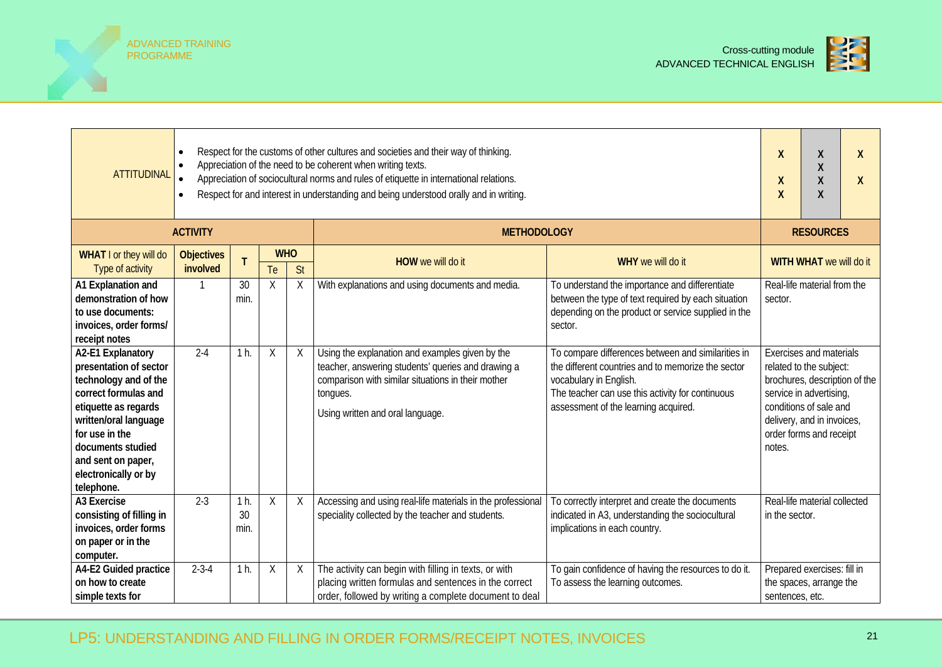



| <b>ATTITUDINAL</b>                                                                                                                                                                                                                               | Respect for the customs of other cultures and societies and their way of thinking.<br>$\bullet$<br>Appreciation of the need to be coherent when writing texts.<br>$\bullet$<br>Appreciation of sociocultural norms and rules of etiquette in international relations.<br>Respect for and interest in understanding and being understood orally and in writing.<br>$\bullet$ |                              |                  |              | X<br>X<br>X                                                                                                                                                                                                 | X<br>X<br>X<br>X                                                                                                                                                                                                               | X<br>X          |                                                                                                                                                                                                          |  |
|--------------------------------------------------------------------------------------------------------------------------------------------------------------------------------------------------------------------------------------------------|-----------------------------------------------------------------------------------------------------------------------------------------------------------------------------------------------------------------------------------------------------------------------------------------------------------------------------------------------------------------------------|------------------------------|------------------|--------------|-------------------------------------------------------------------------------------------------------------------------------------------------------------------------------------------------------------|--------------------------------------------------------------------------------------------------------------------------------------------------------------------------------------------------------------------------------|-----------------|----------------------------------------------------------------------------------------------------------------------------------------------------------------------------------------------------------|--|
|                                                                                                                                                                                                                                                  | <b>ACTIVITY</b>                                                                                                                                                                                                                                                                                                                                                             |                              |                  |              | <b>METHODOLOGY</b>                                                                                                                                                                                          |                                                                                                                                                                                                                                |                 | <b>RESOURCES</b>                                                                                                                                                                                         |  |
| WHAT I or they will do<br>Type of activity                                                                                                                                                                                                       | <b>Objectives</b><br>involved                                                                                                                                                                                                                                                                                                                                               |                              | <b>WHO</b><br>Te | St           | HOW we will do it                                                                                                                                                                                           | WHY we will do it                                                                                                                                                                                                              |                 | WITH WHAT we will do it                                                                                                                                                                                  |  |
| A1 Explanation and<br>demonstration of how<br>to use documents:<br>invoices, order forms/<br>receipt notes                                                                                                                                       |                                                                                                                                                                                                                                                                                                                                                                             | 30<br>min.                   | $\sf X$          | $\sf X$      | With explanations and using documents and media.                                                                                                                                                            | To understand the importance and differentiate<br>between the type of text required by each situation<br>depending on the product or service supplied in the<br>sector.                                                        | sector.         | Real-life material from the                                                                                                                                                                              |  |
| A2-E1 Explanatory<br>presentation of sector<br>technology and of the<br>correct formulas and<br>etiquette as regards<br>written/oral language<br>for use in the<br>documents studied<br>and sent on paper,<br>electronically or by<br>telephone. | $2 - 4$                                                                                                                                                                                                                                                                                                                                                                     | 1 <sub>h</sub>               | $\sf X$          | X            | Using the explanation and examples given by the<br>teacher, answering students' queries and drawing a<br>comparison with similar situations in their mother<br>tongues.<br>Using written and oral language. | To compare differences between and similarities in<br>the different countries and to memorize the sector<br>vocabulary in English.<br>The teacher can use this activity for continuous<br>assessment of the learning acquired. | notes.          | <b>Exercises and materials</b><br>related to the subject:<br>brochures, description of the<br>service in advertising,<br>conditions of sale and<br>delivery, and in invoices,<br>order forms and receipt |  |
| A3 Exercise<br>consisting of filling in<br>invoices, order forms<br>on paper or in the<br>computer.                                                                                                                                              | $2 - 3$                                                                                                                                                                                                                                                                                                                                                                     | 1 <sub>h</sub><br>30<br>min. | $\sf X$          | $\mathsf{X}$ | Accessing and using real-life materials in the professional<br>speciality collected by the teacher and students.                                                                                            | To correctly interpret and create the documents<br>indicated in A3, understanding the sociocultural<br>implications in each country.                                                                                           | in the sector.  | Real-life material collected                                                                                                                                                                             |  |
| A4-E2 Guided practice<br>on how to create<br>simple texts for                                                                                                                                                                                    | $2 - 3 - 4$                                                                                                                                                                                                                                                                                                                                                                 | 1 <sub>h</sub>               | X                | X            | The activity can begin with filling in texts, or with<br>placing written formulas and sentences in the correct<br>order, followed by writing a complete document to deal                                    | To gain confidence of having the resources to do it.<br>To assess the learning outcomes.                                                                                                                                       | sentences, etc. | Prepared exercises: fill in<br>the spaces, arrange the                                                                                                                                                   |  |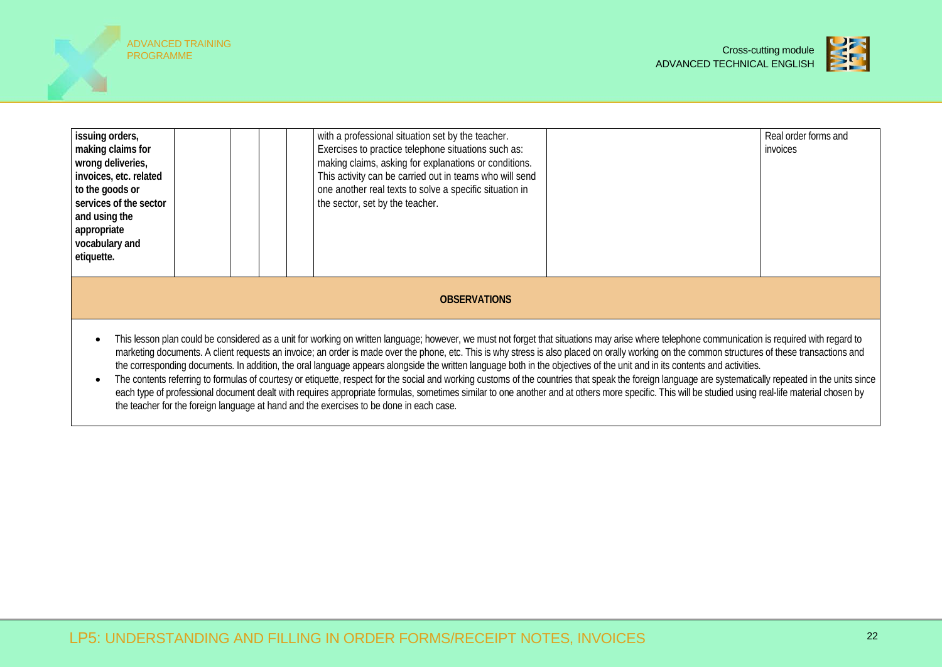



| issuing orders,<br>making claims for<br>wrong deliveries,<br>invoices, etc. related<br>to the goods or<br>services of the sector<br>and using the<br>appropriate<br>vocabulary and<br>etiquette.                                                                                                                                                                                                                                                                                                                                                                                                                                                                                                                                                                                                                                                                                                                                                                                                                                                                                                                     |  |  |  |  | with a professional situation set by the teacher.<br>Exercises to practice telephone situations such as:<br>making claims, asking for explanations or conditions.<br>This activity can be carried out in teams who will send<br>one another real texts to solve a specific situation in<br>the sector, set by the teacher. |  | Real order forms and<br>invoices |  |
|----------------------------------------------------------------------------------------------------------------------------------------------------------------------------------------------------------------------------------------------------------------------------------------------------------------------------------------------------------------------------------------------------------------------------------------------------------------------------------------------------------------------------------------------------------------------------------------------------------------------------------------------------------------------------------------------------------------------------------------------------------------------------------------------------------------------------------------------------------------------------------------------------------------------------------------------------------------------------------------------------------------------------------------------------------------------------------------------------------------------|--|--|--|--|----------------------------------------------------------------------------------------------------------------------------------------------------------------------------------------------------------------------------------------------------------------------------------------------------------------------------|--|----------------------------------|--|
|                                                                                                                                                                                                                                                                                                                                                                                                                                                                                                                                                                                                                                                                                                                                                                                                                                                                                                                                                                                                                                                                                                                      |  |  |  |  | <b>OBSERVATIONS</b>                                                                                                                                                                                                                                                                                                        |  |                                  |  |
| This lesson plan could be considered as a unit for working on written language; however, we must not forget that situations may arise where telephone communication is required with regard to<br>$\bullet$<br>marketing documents. A client requests an invoice; an order is made over the phone, etc. This is why stress is also placed on orally working on the common structures of these transactions and<br>the corresponding documents. In addition, the oral language appears alongside the written language both in the objectives of the unit and in its contents and activities.<br>The contents referring to formulas of courtesy or etiquette, respect for the social and working customs of the countries that speak the foreign language are systematically repeated in the units since<br>$\bullet$<br>each type of professional document dealt with requires appropriate formulas, sometimes similar to one another and at others more specific. This will be studied using real-life material chosen by<br>the teacher for the foreign language at hand and the exercises to be done in each case. |  |  |  |  |                                                                                                                                                                                                                                                                                                                            |  |                                  |  |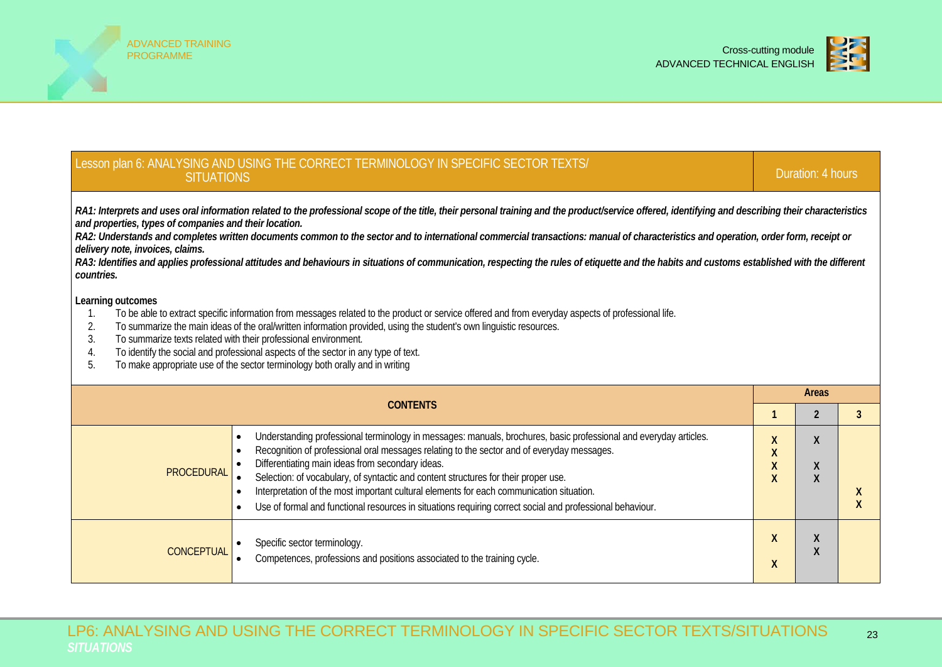



| Lesson plan 6: ANALYSING AND USING THE CORRECT TERMINOLOGY IN SPECIFIC SECTOR TEXTS/<br><b>SITUATIONS</b>                                                                                                                                                                                                                                                                                                                                                                                                                                                                                                                                                                                               |                                                               | Duration: 4 hours                       |                |  |  |  |  |  |  |
|---------------------------------------------------------------------------------------------------------------------------------------------------------------------------------------------------------------------------------------------------------------------------------------------------------------------------------------------------------------------------------------------------------------------------------------------------------------------------------------------------------------------------------------------------------------------------------------------------------------------------------------------------------------------------------------------------------|---------------------------------------------------------------|-----------------------------------------|----------------|--|--|--|--|--|--|
| RA1: Interprets and uses oral information related to the professional scope of the title, their personal training and the product/service offered, identifying and describing their characteristics<br>and properties, types of companies and their location.<br>RA2: Understands and completes written documents common to the sector and to international commercial transactions: manual of characteristics and operation, order form, receipt or<br>delivery note, invoices, claims.<br>RA3: Identifies and applies professional attitudes and behaviours in situations of communication, respecting the rules of etiquette and the habits and customs established with the different<br>countries. |                                                               |                                         |                |  |  |  |  |  |  |
| Learning outcomes<br>To be able to extract specific information from messages related to the product or service offered and from everyday aspects of professional life.<br>1.<br>To summarize the main ideas of the oral/written information provided, using the student's own linguistic resources.<br>2.<br>3.<br>To summarize texts related with their professional environment.<br>To identify the social and professional aspects of the sector in any type of text.<br>4.<br>To make appropriate use of the sector terminology both orally and in writing<br>5.                                                                                                                                   |                                                               |                                         |                |  |  |  |  |  |  |
| <b>CONTENTS</b>                                                                                                                                                                                                                                                                                                                                                                                                                                                                                                                                                                                                                                                                                         |                                                               | <b>Areas</b><br>$\overline{2}$          | $\overline{3}$ |  |  |  |  |  |  |
| Understanding professional terminology in messages: manuals, brochures, basic professional and everyday articles.<br>$\bullet$<br>Recognition of professional oral messages relating to the sector and of everyday messages.<br>Differentiating main ideas from secondary ideas.<br><b>PROCEDURAL</b><br>Selection: of vocabulary, of syntactic and content structures for their proper use.<br>Interpretation of the most important cultural elements for each communication situation.<br>Use of formal and functional resources in situations requiring correct social and professional behaviour.<br>$\bullet$                                                                                      | X<br>$\pmb{\mathsf{X}}$<br>$\pmb{\mathsf{X}}$<br>$\mathsf{X}$ | $\mathsf{X}$<br>$\pmb{\mathsf{X}}$<br>X | X<br>X         |  |  |  |  |  |  |
| Specific sector terminology.                                                                                                                                                                                                                                                                                                                                                                                                                                                                                                                                                                                                                                                                            | $\mathsf{X}$                                                  | $\pmb{\mathsf{X}}$                      |                |  |  |  |  |  |  |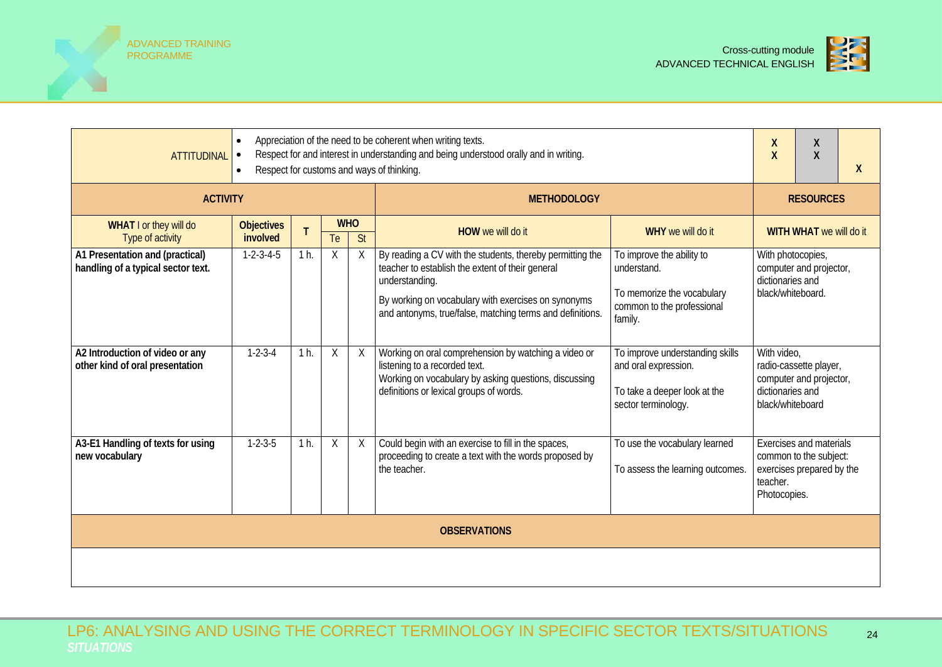



| <b>ATTITUDINAL</b>                                                    | X<br>χ<br>$\overline{\mathsf{X}}$<br>$\sf X$<br>X |                |         |                                        |                                                                                                                                                                                                                                                     |                                                                                                                 |                                                                                                                   |  |  |  |
|-----------------------------------------------------------------------|---------------------------------------------------|----------------|---------|----------------------------------------|-----------------------------------------------------------------------------------------------------------------------------------------------------------------------------------------------------------------------------------------------------|-----------------------------------------------------------------------------------------------------------------|-------------------------------------------------------------------------------------------------------------------|--|--|--|
| <b>ACTIVITY</b>                                                       |                                                   |                |         |                                        | <b>METHODOLOGY</b>                                                                                                                                                                                                                                  |                                                                                                                 | <b>RESOURCES</b>                                                                                                  |  |  |  |
| WHAT I or they will do<br>Type of activity                            | <b>Objectives</b><br>involved                     |                | Te      | <b>WHO</b><br>$\overline{\mathsf{St}}$ | <b>HOW</b> we will do it                                                                                                                                                                                                                            | WHY we will do it                                                                                               | WITH WHAT we will do it                                                                                           |  |  |  |
| A1 Presentation and (practical)<br>handling of a typical sector text. | $1 - 2 - 3 - 4 - 5$                               | 1 h.           | X       | X                                      | By reading a CV with the students, thereby permitting the<br>teacher to establish the extent of their general<br>understanding.<br>By working on vocabulary with exercises on synonyms<br>and antonyms, true/false, matching terms and definitions. | To improve the ability to<br>understand.<br>To memorize the vocabulary<br>common to the professional<br>family. | With photocopies,<br>computer and projector,<br>dictionaries and<br>black/whiteboard.                             |  |  |  |
| A2 Introduction of video or any<br>other kind of oral presentation    | $1 - 2 - 3 - 4$                                   | 1 h.           | $\sf X$ | X                                      | Working on oral comprehension by watching a video or<br>listening to a recorded text.<br>Working on vocabulary by asking questions, discussing<br>definitions or lexical groups of words.                                                           | To improve understanding skills<br>and oral expression.<br>To take a deeper look at the<br>sector terminology.  | With video,<br>radio-cassette player,<br>computer and projector,<br>dictionaries and<br>black/whiteboard          |  |  |  |
| A3-E1 Handling of texts for using<br>new vocabulary                   | $1 - 2 - 3 - 5$                                   | 1 <sub>h</sub> | Χ       | X                                      | Could begin with an exercise to fill in the spaces,<br>proceeding to create a text with the words proposed by<br>the teacher.                                                                                                                       | To use the vocabulary learned<br>To assess the learning outcomes.                                               | <b>Exercises and materials</b><br>common to the subject:<br>exercises prepared by the<br>teacher.<br>Photocopies. |  |  |  |
|                                                                       | <b>OBSERVATIONS</b>                               |                |         |                                        |                                                                                                                                                                                                                                                     |                                                                                                                 |                                                                                                                   |  |  |  |
|                                                                       |                                                   |                |         |                                        |                                                                                                                                                                                                                                                     |                                                                                                                 |                                                                                                                   |  |  |  |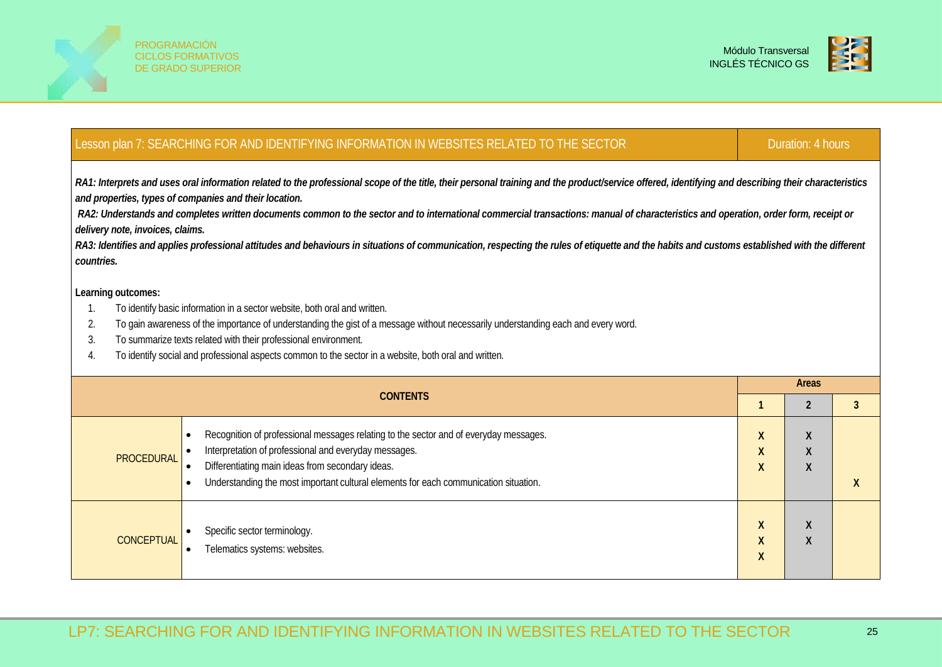



### Lesson plan 7: SEARCHING FOR AND IDENTIFYING INFORMATION IN WEBSITES RELATED TO THE SECTOR Duration: 4 hours Duration: 4 hours

*RA1: Interprets and uses oral information related to the professional scope of the title, their personal training and the product/service offered, identifying and describing their characteristics and properties, types of companies and their location.*

*RA2: Understands and completes written documents common to the sector and to international commercial transactions: manual of characteristics and operation, order form, receipt or delivery note, invoices, claims.*

RA3: Identifies and applies professional attitudes and behaviours in situations of communication, respecting the rules of etiquette and the habits and customs established with the different *countries.*

- 1. To identify basic information in a sector website, both oral and written.
- 2. To gain awareness of the importance of understanding the gist of a message without necessarily understanding each and every word.
- 3. To summarize texts related with their professional environment.
- 4. To identify social and professional aspects common to the sector in a website, both oral and written.

|                   | <b>CONTENTS</b>                                                                                                                                                                                                                                                                            | <b>Areas</b>               |                          |  |  |  |
|-------------------|--------------------------------------------------------------------------------------------------------------------------------------------------------------------------------------------------------------------------------------------------------------------------------------------|----------------------------|--------------------------|--|--|--|
|                   |                                                                                                                                                                                                                                                                                            |                            |                          |  |  |  |
| <b>PROCEDURAL</b> | Recognition of professional messages relating to the sector and of everyday messages.<br>Interpretation of professional and everyday messages.<br>Differentiating main ideas from secondary ideas.<br>Understanding the most important cultural elements for each communication situation. | X<br>X<br>X                | χ<br>Χ<br>v<br>$\Lambda$ |  |  |  |
| <b>CONCEPTUAL</b> | Specific sector terminology.<br>Telematics systems: websites.                                                                                                                                                                                                                              | X<br>$\boldsymbol{X}$<br>X | v<br>Λ<br>Χ              |  |  |  |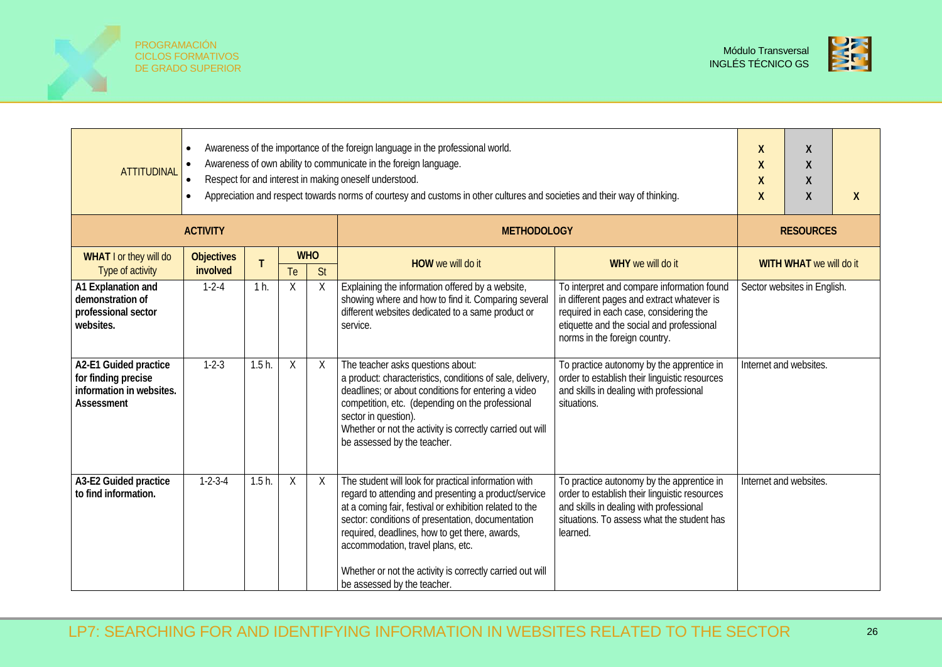



| <b>ATTITUDINAL</b>                                                                     | Awareness of the importance of the foreign language in the professional world.<br>Awareness of own ability to communicate in the foreign language.<br>Respect for and interest in making oneself understood.<br>Appreciation and respect towards norms of courtesy and customs in other cultures and societies and their way of thinking. | χ<br>X<br>$\boldsymbol{X}$<br>$\boldsymbol{X}$ | Χ<br>χ<br>Χ<br>χ | X                |                                                                                                                                                                                                                                                                                                                                                                                                                 |                                                                                                                                                                                                                  |                        |                             |  |
|----------------------------------------------------------------------------------------|-------------------------------------------------------------------------------------------------------------------------------------------------------------------------------------------------------------------------------------------------------------------------------------------------------------------------------------------|------------------------------------------------|------------------|------------------|-----------------------------------------------------------------------------------------------------------------------------------------------------------------------------------------------------------------------------------------------------------------------------------------------------------------------------------------------------------------------------------------------------------------|------------------------------------------------------------------------------------------------------------------------------------------------------------------------------------------------------------------|------------------------|-----------------------------|--|
|                                                                                        | <b>ACTIVITY</b>                                                                                                                                                                                                                                                                                                                           |                                                |                  |                  | <b>METHODOLOGY</b>                                                                                                                                                                                                                                                                                                                                                                                              |                                                                                                                                                                                                                  |                        | <b>RESOURCES</b>            |  |
| WHAT I or they will do<br>Type of activity                                             | <b>Objectives</b><br>involved                                                                                                                                                                                                                                                                                                             | T                                              | Te               | <b>WHO</b><br>St | HOW we will do it                                                                                                                                                                                                                                                                                                                                                                                               | WHY we will do it                                                                                                                                                                                                |                        | WITH WHAT we will do it     |  |
| A1 Explanation and<br>demonstration of<br>professional sector<br>websites.             | $1 - 2 - 4$                                                                                                                                                                                                                                                                                                                               | $1h$ .                                         | Χ                | $\times$         | Explaining the information offered by a website,<br>showing where and how to find it. Comparing several<br>different websites dedicated to a same product or<br>service.                                                                                                                                                                                                                                        | To interpret and compare information found<br>in different pages and extract whatever is<br>required in each case, considering the<br>etiquette and the social and professional<br>norms in the foreign country. |                        | Sector websites in English. |  |
| A2-E1 Guided practice<br>for finding precise<br>information in websites.<br>Assessment | $1 - 2 - 3$                                                                                                                                                                                                                                                                                                                               | $1.5h$ .                                       | Χ                | X                | The teacher asks questions about:<br>a product: characteristics, conditions of sale, delivery<br>deadlines; or about conditions for entering a video<br>competition, etc. (depending on the professional<br>sector in question).<br>Whether or not the activity is correctly carried out will<br>be assessed by the teacher.                                                                                    | To practice autonomy by the apprentice in<br>order to establish their linguistic resources<br>and skills in dealing with professional<br>situations.                                                             | Internet and websites. |                             |  |
| A3-E2 Guided practice<br>to find information.                                          | $1-2-3-4$                                                                                                                                                                                                                                                                                                                                 | $1.5h$ .                                       | Χ                | X                | The student will look for practical information with<br>regard to attending and presenting a product/service<br>at a coming fair, festival or exhibition related to the<br>sector: conditions of presentation, documentation<br>required, deadlines, how to get there, awards,<br>accommodation, travel plans, etc.<br>Whether or not the activity is correctly carried out will<br>be assessed by the teacher. | To practice autonomy by the apprentice in<br>order to establish their linguistic resources<br>and skills in dealing with professional<br>situations. To assess what the student has<br>learned.                  | Internet and websites. |                             |  |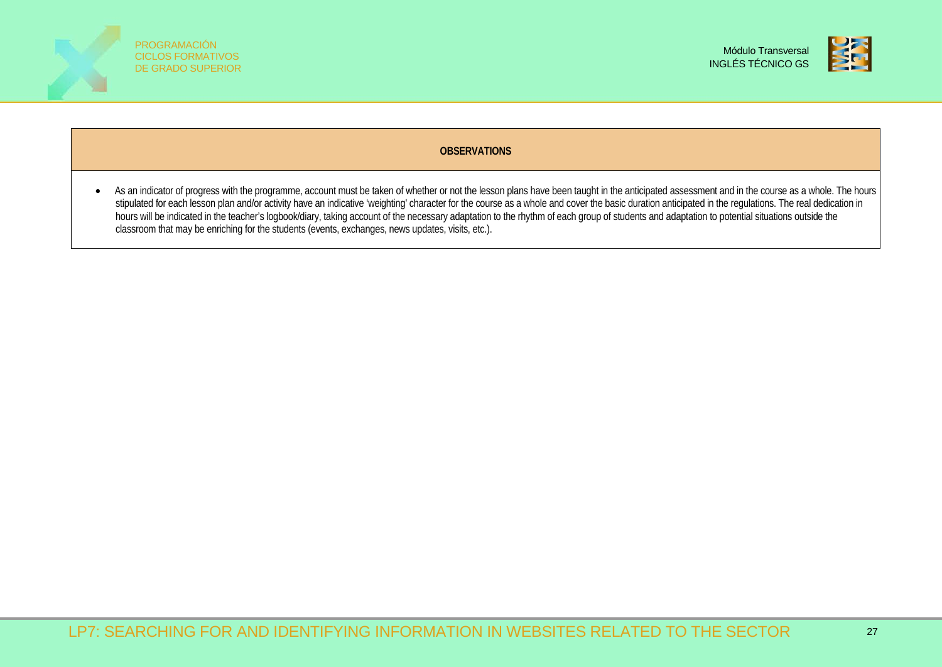



### **OBSERVATIONS**

• As an indicator of progress with the programme, account must be taken of whether or not the lesson plans have been taught in the anticipated assessment and in the course as a whole. The hours stipulated for each lesson plan and/or activity have an indicative 'weighting' character for the course as a whole and cover the basic duration anticipated in the regulations. The real dedication in hours will be indicated in the teacher's logbook/diary, taking account of the necessary adaptation to the rhythm of each group of students and adaptation to potential situations outside the classroom that may be enriching for the students (events, exchanges, news updates, visits, etc.).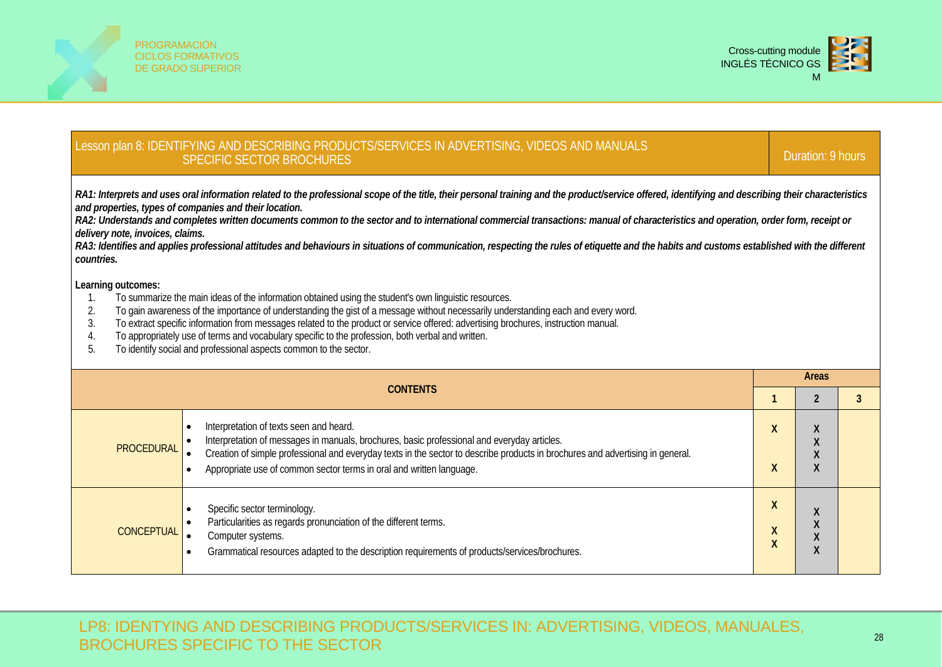



# Lesson plan 8: IDENTIFYING AND DESCRIBING PRODUCTS/SERVICES IN ADVERTISING, VIDEOS AND MANUALS<br>SPECIFIC SECTOR BROCHURES

*RA1: Interprets and uses oral information related to the professional scope of the title, their personal training and the product/service offered, identifying and describing their characteristics and properties, types of companies and their location.*

*RA2: Understands and completes written documents common to the sector and to international commercial transactions: manual of characteristics and operation, order form, receipt or delivery note, invoices, claims.*

RA3: Identifies and applies professional attitudes and behaviours in situations of communication, respecting the rules of etiquette and the habits and customs established with the different *countries.*

- 1. To summarize the main ideas of the information obtained using the student's own linguistic resources.
- 2. To gain awareness of the importance of understanding the gist of a message without necessarily understanding each and every word.
- 3. To extract specific information from messages related to the product or service offered: advertising brochures, instruction manual.
- 4. To appropriately use of terms and vocabulary specific to the profession, both verbal and written.<br>5. To identify social and professional aspects common to the sector.
- 5. To identify social and professional aspects common to the sector.

|                   | Areas                                                                                                                                                                                                                                                                                                                                            |           |                                                     |  |  |
|-------------------|--------------------------------------------------------------------------------------------------------------------------------------------------------------------------------------------------------------------------------------------------------------------------------------------------------------------------------------------------|-----------|-----------------------------------------------------|--|--|
|                   |                                                                                                                                                                                                                                                                                                                                                  |           |                                                     |  |  |
| <b>PROCEDURAL</b> | Interpretation of texts seen and heard.<br>Interpretation of messages in manuals, brochures, basic professional and everyday articles.<br>Creation of simple professional and everyday texts in the sector to describe products in brochures and advertising in general.<br>Appropriate use of common sector terms in oral and written language. |           | $\Lambda$<br>$\Lambda$<br>$\Lambda$<br>$\Lambda$    |  |  |
| <b>CONCEPTUAL</b> | Specific sector terminology.<br>Particularities as regards pronunciation of the different terms.<br>Computer systems.<br>Grammatical resources adapted to the description requirements of products/services/brochures.                                                                                                                           | $\lambda$ | $\lambda$<br>$\mathbf{v}$<br>$\Lambda$<br>$\lambda$ |  |  |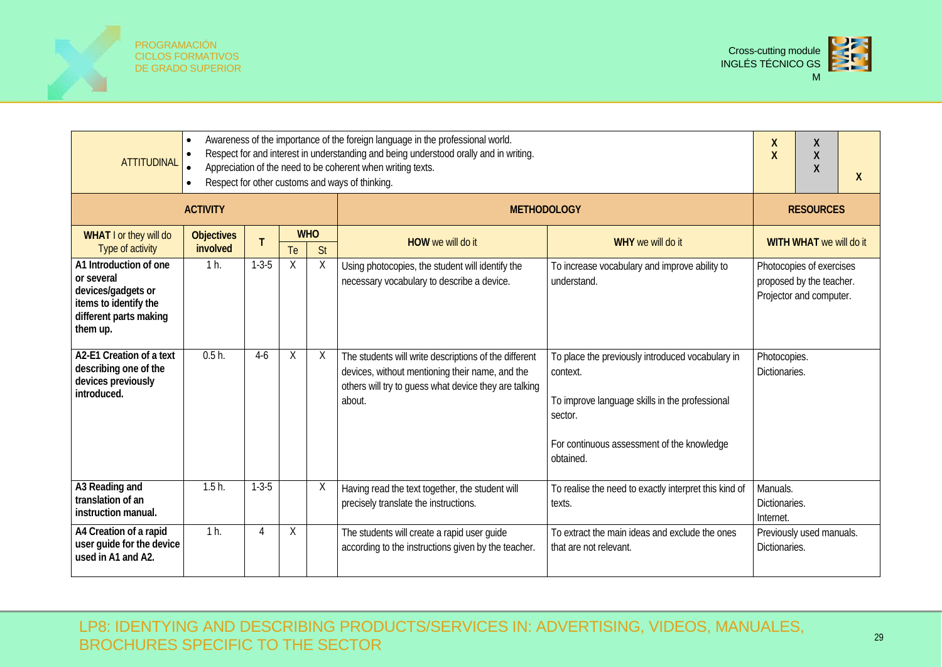



| <b>ATTITUDINAL</b>                                                                                                        | Awareness of the importance of the foreign language in the professional world.<br>Respect for and interest in understanding and being understood orally and in writing.<br>Appreciation of the need to be coherent when writing texts.<br>Respect for other customs and ways of thinking.<br>$\bullet$ | X<br>X<br>X<br>X<br>X<br>X |    |                  |                                                                                                                                                                             |                                                                                                                                                                                      |                                                                                 |
|---------------------------------------------------------------------------------------------------------------------------|--------------------------------------------------------------------------------------------------------------------------------------------------------------------------------------------------------------------------------------------------------------------------------------------------------|----------------------------|----|------------------|-----------------------------------------------------------------------------------------------------------------------------------------------------------------------------|--------------------------------------------------------------------------------------------------------------------------------------------------------------------------------------|---------------------------------------------------------------------------------|
|                                                                                                                           | <b>ACTIVITY</b>                                                                                                                                                                                                                                                                                        |                            |    |                  | <b>METHODOLOGY</b>                                                                                                                                                          |                                                                                                                                                                                      | <b>RESOURCES</b>                                                                |
| WHAT I or they will do<br>Type of activity                                                                                | <b>Objectives</b><br>involved                                                                                                                                                                                                                                                                          | T                          | Te | <b>WHO</b><br>St | HOW we will do it                                                                                                                                                           | WHY we will do it                                                                                                                                                                    | WITH WHAT we will do it                                                         |
| A1 Introduction of one<br>or several<br>devices/gadgets or<br>items to identify the<br>different parts making<br>them up. | 1 h.                                                                                                                                                                                                                                                                                                   | $1 - 3 - 5$                | Χ  | Χ                | Using photocopies, the student will identify the<br>necessary vocabulary to describe a device.                                                                              | To increase vocabulary and improve ability to<br>understand.                                                                                                                         | Photocopies of exercises<br>proposed by the teacher.<br>Projector and computer. |
| A2-E1 Creation of a text<br>describing one of the<br>devices previously<br>introduced.                                    | $0.5h$ .                                                                                                                                                                                                                                                                                               | $4-6$                      | Χ  | Χ                | The students will write descriptions of the different<br>devices, without mentioning their name, and the<br>others will try to guess what device they are talking<br>about. | To place the previously introduced vocabulary in<br>context.<br>To improve language skills in the professional<br>sector.<br>For continuous assessment of the knowledge<br>obtained. | Photocopies.<br>Dictionaries.                                                   |
| A3 Reading and<br>translation of an<br>instruction manual.                                                                | 1.5h                                                                                                                                                                                                                                                                                                   | $1 - 3 - 5$                |    | X                | Having read the text together, the student will<br>precisely translate the instructions.                                                                                    | To realise the need to exactly interpret this kind of<br>texts.                                                                                                                      | Manuals.<br>Dictionaries.<br>Internet.                                          |
| A4 Creation of a rapid<br>user guide for the device<br>used in A1 and A2.                                                 | 1 <sub>h</sub>                                                                                                                                                                                                                                                                                         | 4                          | Χ  |                  | The students will create a rapid user guide<br>according to the instructions given by the teacher.                                                                          | To extract the main ideas and exclude the ones<br>that are not relevant.                                                                                                             | Previously used manuals.<br>Dictionaries.                                       |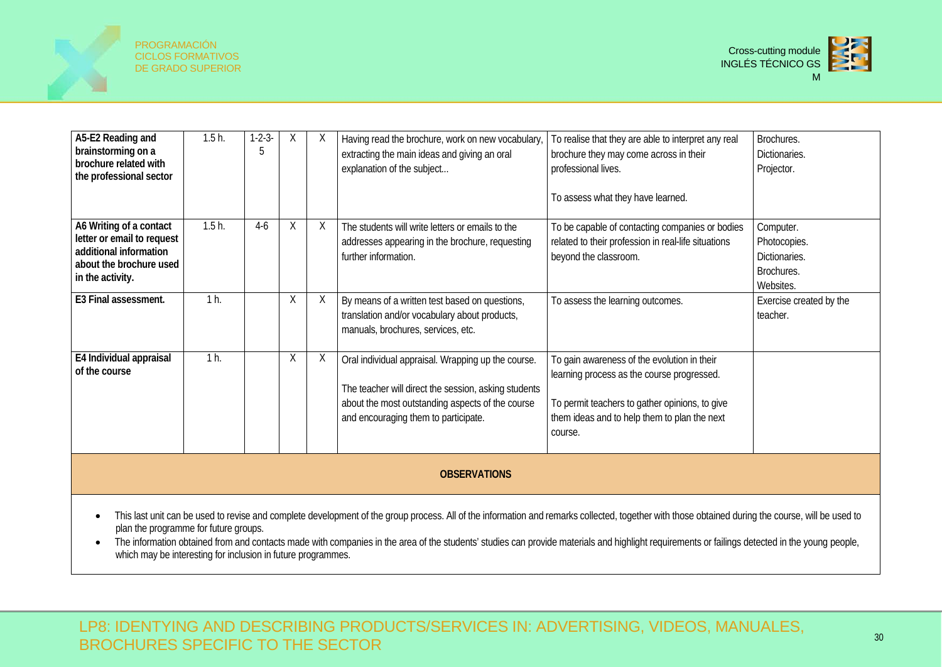



| A5-E2 Reading and<br>brainstorming on a<br>brochure related with<br>the professional sector                                    | $1.5h$ .       | $1 - 2 - 3 -$ | X      | X | Having read the brochure, work on new vocabulary,<br>extracting the main ideas and giving an oral<br>explanation of the subject                                                                        | To realise that they are able to interpret any real<br>brochure they may come across in their<br>professional lives.<br>To assess what they have learned.                                              | Brochures.<br>Dictionaries.<br>Projector.                             |
|--------------------------------------------------------------------------------------------------------------------------------|----------------|---------------|--------|---|--------------------------------------------------------------------------------------------------------------------------------------------------------------------------------------------------------|--------------------------------------------------------------------------------------------------------------------------------------------------------------------------------------------------------|-----------------------------------------------------------------------|
| A6 Writing of a contact<br>letter or email to request<br>additional information<br>about the brochure used<br>in the activity. | $1.5h$ .       | 4-6           | $\chi$ | X | The students will write letters or emails to the<br>addresses appearing in the brochure, requesting<br>further information.                                                                            | To be capable of contacting companies or bodies<br>related to their profession in real-life situations<br>beyond the classroom.                                                                        | Computer.<br>Photocopies.<br>Dictionaries.<br>Brochures.<br>Websites. |
| E3 Final assessment.                                                                                                           | 1 <sub>h</sub> |               | X      | X | By means of a written test based on questions,<br>translation and/or vocabulary about products,<br>manuals, brochures, services, etc.                                                                  | To assess the learning outcomes.                                                                                                                                                                       | Exercise created by the<br>teacher.                                   |
| E4 Individual appraisal<br>of the course                                                                                       | 1 <sub>h</sub> |               | $\chi$ | X | Oral individual appraisal. Wrapping up the course.<br>The teacher will direct the session, asking students<br>about the most outstanding aspects of the course<br>and encouraging them to participate. | To gain awareness of the evolution in their<br>learning process as the course progressed.<br>To permit teachers to gather opinions, to give<br>them ideas and to help them to plan the next<br>course. |                                                                       |
| <b>OBSERVATIONS</b>                                                                                                            |                |               |        |   |                                                                                                                                                                                                        |                                                                                                                                                                                                        |                                                                       |

• This last unit can be used to revise and complete development of the group process. All of the information and remarks collected, together with those obtained during the course, will be used to plan the programme for future groups.

• The information obtained from and contacts made with companies in the area of the students' studies can provide materials and highlight requirements or failings detected in the young people, which may be interesting for inclusion in future programmes.

LP8: IDENTYING AND DESCRIBING PRODUCTS/SERVICES IN: ADVERTISING, VIDEOS, MANUALES, BROCHURES SPECIFIC TO THE SECTOR